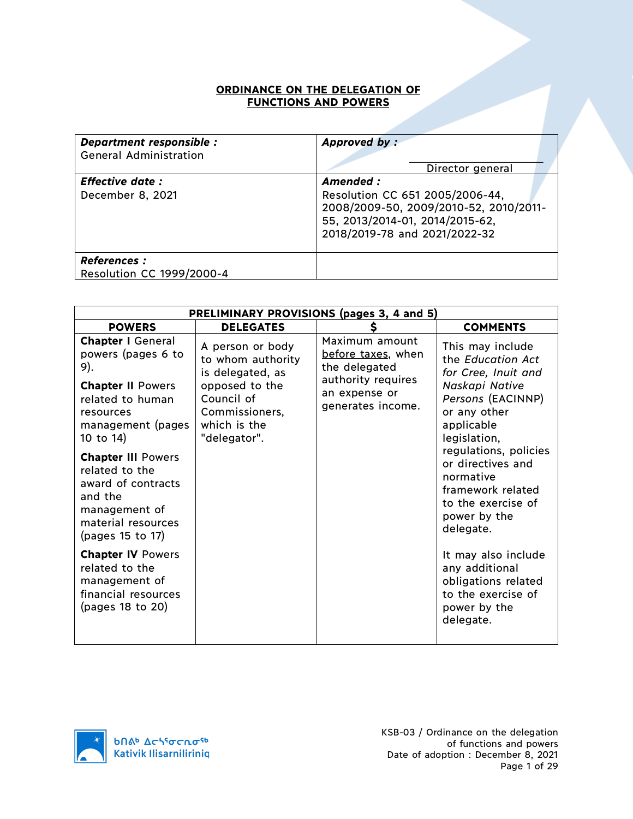## **ORDINANCE ON THE DELEGATION OF FUNCTIONS AND POWERS**

| Department responsible :<br><b>General Administration</b> | Approved by:<br>Director general                                                                                                                           |
|-----------------------------------------------------------|------------------------------------------------------------------------------------------------------------------------------------------------------------|
| <b>Effective date:</b><br>December 8, 2021                | Amended :<br>Resolution CC 651 2005/2006-44,<br>2008/2009-50, 2009/2010-52, 2010/2011-<br>55, 2013/2014-01, 2014/2015-62,<br>2018/2019-78 and 2021/2022-32 |
| <b>References:</b><br>Resolution CC 1999/2000-4           |                                                                                                                                                            |

|                                                                                                                                                      | PRELIMINARY PROVISIONS (pages 3, 4 and 5)                                                                                                   |                                                                                                                   |                                                                                                                                                   |  |
|------------------------------------------------------------------------------------------------------------------------------------------------------|---------------------------------------------------------------------------------------------------------------------------------------------|-------------------------------------------------------------------------------------------------------------------|---------------------------------------------------------------------------------------------------------------------------------------------------|--|
| <b>POWERS</b>                                                                                                                                        | <b>DELEGATES</b>                                                                                                                            | \$                                                                                                                | <b>COMMENTS</b>                                                                                                                                   |  |
| <b>Chapter I General</b><br>powers (pages 6 to<br>9).<br><b>Chapter II Powers</b><br>related to human<br>resources<br>management (pages<br>10 to 14) | A person or body<br>to whom authority<br>is delegated, as<br>opposed to the<br>Council of<br>Commissioners,<br>which is the<br>"delegator". | Maximum amount<br>before taxes, when<br>the delegated<br>authority requires<br>an expense or<br>generates income. | This may include<br>the Education Act<br>for Cree, Inuit and<br>Naskapi Native<br>Persons (EACINNP)<br>or any other<br>applicable<br>legislation, |  |
| <b>Chapter III Powers</b><br>related to the<br>award of contracts<br>and the<br>management of<br>material resources<br>(pages 15 to 17)              |                                                                                                                                             |                                                                                                                   | regulations, policies<br>or directives and<br>normative<br>framework related<br>to the exercise of<br>power by the<br>delegate.                   |  |
| <b>Chapter IV Powers</b><br>related to the<br>management of<br>financial resources<br>(pages 18 to 20)                                               |                                                                                                                                             |                                                                                                                   | It may also include<br>any additional<br>obligations related<br>to the exercise of<br>power by the<br>delegate.                                   |  |

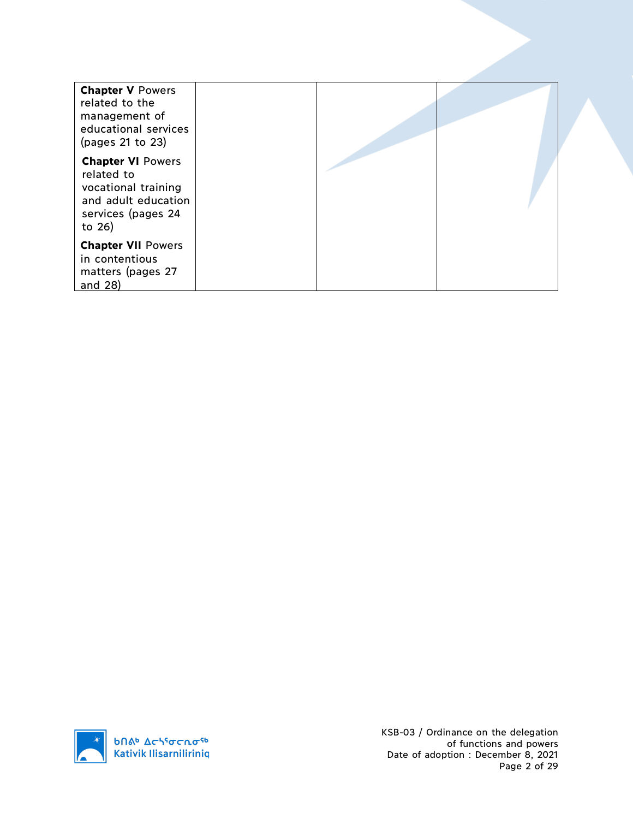| <b>Chapter V Powers</b><br>related to the<br>management of<br>educational services<br>(pages 21 to 23)               |  |  |
|----------------------------------------------------------------------------------------------------------------------|--|--|
| <b>Chapter VI Powers</b><br>related to<br>vocational training<br>and adult education<br>services (pages 24<br>to 26) |  |  |
| <b>Chapter VII Powers</b><br>in contentious<br>matters (pages 27<br>and $28$ )                                       |  |  |



KSB-03 / Ordinance on the delegation of functions and powers Date of adoption : December 8, 2021 Page 2 of 29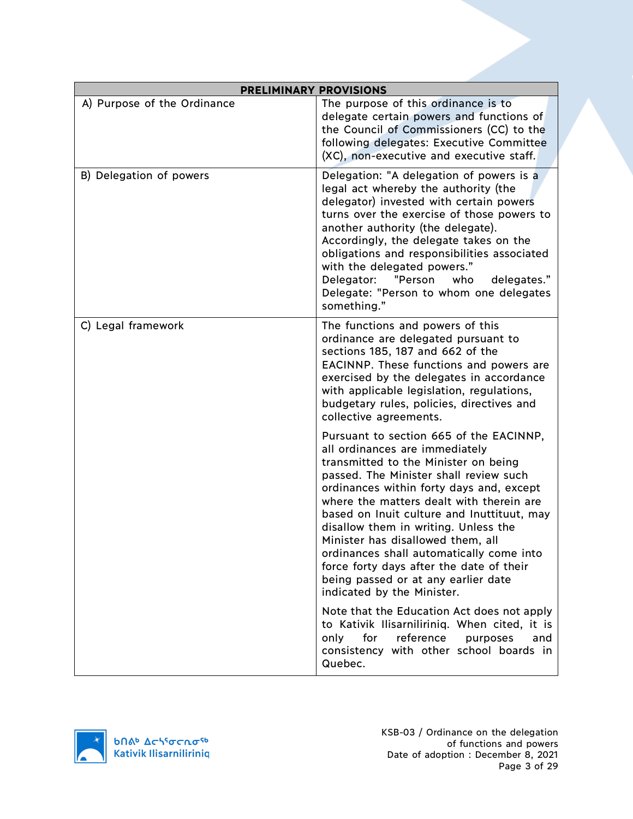| <b>PRELIMINARY PROVISIONS</b> |                                                                                                                                                                                                                                                                                                                                                                                                                                                                                                                                             |
|-------------------------------|---------------------------------------------------------------------------------------------------------------------------------------------------------------------------------------------------------------------------------------------------------------------------------------------------------------------------------------------------------------------------------------------------------------------------------------------------------------------------------------------------------------------------------------------|
| A) Purpose of the Ordinance   | The purpose of this ordinance is to<br>delegate certain powers and functions of<br>the Council of Commissioners (CC) to the<br>following delegates: Executive Committee<br>(XC), non-executive and executive staff.                                                                                                                                                                                                                                                                                                                         |
| B) Delegation of powers       | Delegation: "A delegation of powers is a<br>legal act whereby the authority (the<br>delegator) invested with certain powers<br>turns over the exercise of those powers to<br>another authority (the delegate).<br>Accordingly, the delegate takes on the<br>obligations and responsibilities associated<br>with the delegated powers."<br>"Person<br>Delegator:<br>who<br>delegates."<br>Delegate: "Person to whom one delegates<br>something."                                                                                             |
| C) Legal framework            | The functions and powers of this<br>ordinance are delegated pursuant to<br>sections 185, 187 and 662 of the<br>EACINNP. These functions and powers are<br>exercised by the delegates in accordance<br>with applicable legislation, regulations,<br>budgetary rules, policies, directives and<br>collective agreements.                                                                                                                                                                                                                      |
|                               | Pursuant to section 665 of the EACINNP,<br>all ordinances are immediately<br>transmitted to the Minister on being<br>passed. The Minister shall review such<br>ordinances within forty days and, except<br>where the matters dealt with therein are<br>based on Inuit culture and Inuttituut, may<br>disallow them in writing. Unless the<br>Minister has disallowed them, all<br>ordinances shall automatically come into<br>force forty days after the date of their<br>being passed or at any earlier date<br>indicated by the Minister. |
|                               | Note that the Education Act does not apply<br>to Kativik Ilisarniliriniq. When cited, it is<br>reference<br>only<br>for<br>purposes<br>and<br>consistency with other school boards in<br>Quebec.                                                                                                                                                                                                                                                                                                                                            |

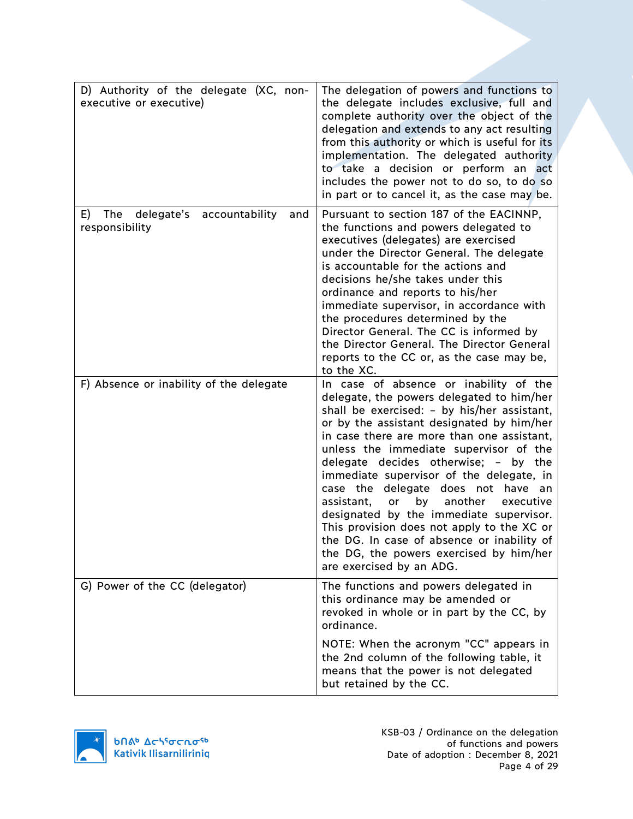| D) Authority of the delegate (XC, non-<br>executive or executive) | The delegation of powers and functions to<br>the delegate includes exclusive, full and<br>complete authority over the object of the<br>delegation and extends to any act resulting<br>from this authority or which is useful for its<br>implementation. The delegated authority<br>to take a decision or perform an act<br>includes the power not to do so, to do so<br>in part or to cancel it, as the case may be.                                                                                                                                                                                                                                              |
|-------------------------------------------------------------------|-------------------------------------------------------------------------------------------------------------------------------------------------------------------------------------------------------------------------------------------------------------------------------------------------------------------------------------------------------------------------------------------------------------------------------------------------------------------------------------------------------------------------------------------------------------------------------------------------------------------------------------------------------------------|
| E)<br>The delegate's accountability<br>and<br>responsibility      | Pursuant to section 187 of the EACINNP,<br>the functions and powers delegated to<br>executives (delegates) are exercised<br>under the Director General. The delegate<br>is accountable for the actions and<br>decisions he/she takes under this<br>ordinance and reports to his/her<br>immediate supervisor, in accordance with<br>the procedures determined by the<br>Director General. The CC is informed by<br>the Director General. The Director General<br>reports to the CC or, as the case may be,<br>to the XC.                                                                                                                                           |
| F) Absence or inability of the delegate                           | In case of absence or inability of the<br>delegate, the powers delegated to him/her<br>shall be exercised: - by his/her assistant,<br>or by the assistant designated by him/her<br>in case there are more than one assistant,<br>unless the immediate supervisor of the<br>delegate decides otherwise; - by the<br>immediate supervisor of the delegate, in<br>case the delegate does not have an<br>by<br>another<br>assistant,<br>or<br>executive<br>designated by the immediate supervisor.<br>This provision does not apply to the XC or<br>the DG. In case of absence or inability of<br>the DG, the powers exercised by him/her<br>are exercised by an ADG. |
| G) Power of the CC (delegator)                                    | The functions and powers delegated in<br>this ordinance may be amended or<br>revoked in whole or in part by the CC, by<br>ordinance.                                                                                                                                                                                                                                                                                                                                                                                                                                                                                                                              |
|                                                                   | NOTE: When the acronym "CC" appears in<br>the 2nd column of the following table, it<br>means that the power is not delegated<br>but retained by the CC.                                                                                                                                                                                                                                                                                                                                                                                                                                                                                                           |

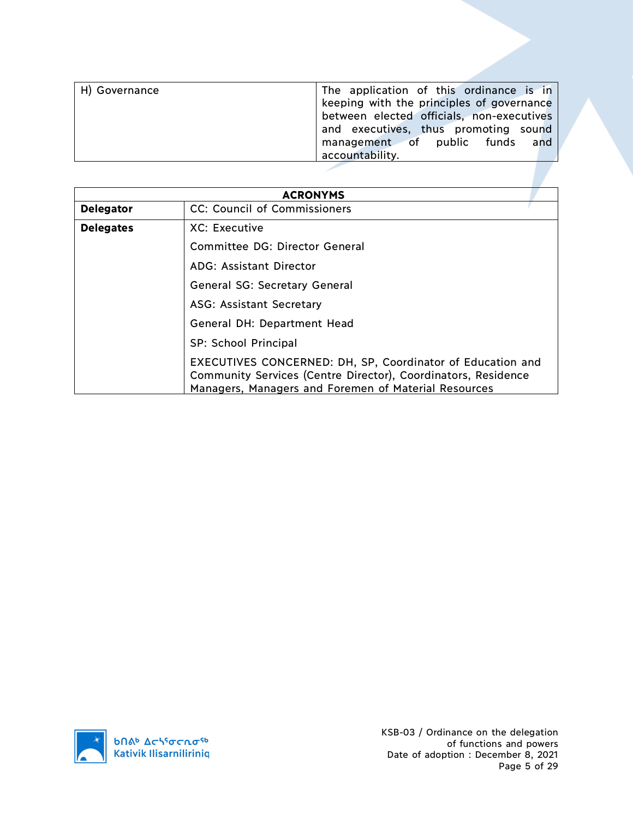| H) Governance | The application of this ordinance is in   |
|---------------|-------------------------------------------|
|               | keeping with the principles of governance |
|               | between elected officials, non-executives |
|               | and executives, thus promoting sound      |
|               | management of public funds and            |
|               | accountability.                           |
|               |                                           |

|                                      | <b>ACRONYMS</b>                                                                                                                                                                     |  |  |  |  |
|--------------------------------------|-------------------------------------------------------------------------------------------------------------------------------------------------------------------------------------|--|--|--|--|
| <b>Delegator</b>                     | CC: Council of Commissioners                                                                                                                                                        |  |  |  |  |
| <b>Delegates</b>                     | XC: Executive                                                                                                                                                                       |  |  |  |  |
|                                      | Committee DG: Director General                                                                                                                                                      |  |  |  |  |
| <b>ADG: Assistant Director</b>       |                                                                                                                                                                                     |  |  |  |  |
| <b>General SG: Secretary General</b> |                                                                                                                                                                                     |  |  |  |  |
| <b>ASG: Assistant Secretary</b>      |                                                                                                                                                                                     |  |  |  |  |
|                                      | General DH: Department Head                                                                                                                                                         |  |  |  |  |
|                                      | SP: School Principal                                                                                                                                                                |  |  |  |  |
|                                      | EXECUTIVES CONCERNED: DH, SP, Coordinator of Education and<br>Community Services (Centre Director), Coordinators, Residence<br>Managers, Managers and Foremen of Material Resources |  |  |  |  |

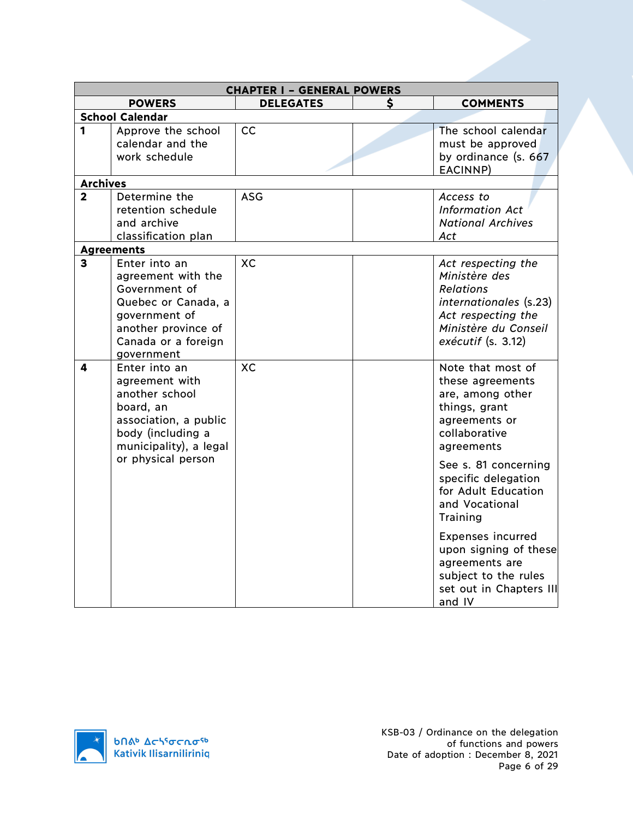|                         |                                   | <b>CHAPTER I - GENERAL POWERS</b> |   |                                                    |
|-------------------------|-----------------------------------|-----------------------------------|---|----------------------------------------------------|
|                         | <b>POWERS</b>                     | <b>DELEGATES</b>                  | S | <b>COMMENTS</b>                                    |
|                         | <b>School Calendar</b>            |                                   |   |                                                    |
| 1                       | Approve the school                | cc                                |   | The school calendar                                |
|                         | calendar and the                  |                                   |   | must be approved                                   |
|                         | work schedule                     |                                   |   | by ordinance (s. 667                               |
|                         |                                   |                                   |   | EACINNP)                                           |
| <b>Archives</b>         |                                   |                                   |   |                                                    |
| $\overline{2}$          | Determine the                     | <b>ASG</b>                        |   | Access to                                          |
|                         | retention schedule<br>and archive |                                   |   | <b>Information Act</b><br><b>National Archives</b> |
|                         | classification plan               |                                   |   | Act                                                |
|                         | <b>Agreements</b>                 |                                   |   |                                                    |
| $\overline{\mathbf{3}}$ | Enter into an                     | XC.                               |   | Act respecting the                                 |
|                         | agreement with the                |                                   |   | Ministère des                                      |
|                         | Government of                     |                                   |   | <b>Relations</b>                                   |
|                         | Quebec or Canada, a               |                                   |   | internationales (s.23)                             |
|                         | government of                     |                                   |   | Act respecting the                                 |
|                         | another province of               |                                   |   | Ministère du Conseil                               |
|                         | Canada or a foreign               |                                   |   | $exécutif$ (s. 3.12)                               |
|                         | government                        |                                   |   |                                                    |
| 4                       | Enter into an                     | XC                                |   | Note that most of                                  |
|                         | agreement with                    |                                   |   | these agreements                                   |
|                         | another school                    |                                   |   | are, among other                                   |
|                         | board, an                         |                                   |   | things, grant                                      |
|                         | association, a public             |                                   |   | agreements or                                      |
|                         | body (including a                 |                                   |   | collaborative                                      |
|                         | municipality), a legal            |                                   |   | agreements                                         |
|                         | or physical person                |                                   |   | See s. 81 concerning                               |
|                         |                                   |                                   |   | specific delegation                                |
|                         |                                   |                                   |   | for Adult Education                                |
|                         |                                   |                                   |   | and Vocational                                     |
|                         |                                   |                                   |   | Training                                           |
|                         |                                   |                                   |   | <b>Expenses incurred</b>                           |
|                         |                                   |                                   |   | upon signing of these                              |
|                         |                                   |                                   |   | agreements are                                     |
|                         |                                   |                                   |   | subject to the rules                               |
|                         |                                   |                                   |   | set out in Chapters III                            |
|                         |                                   |                                   |   | and IV                                             |

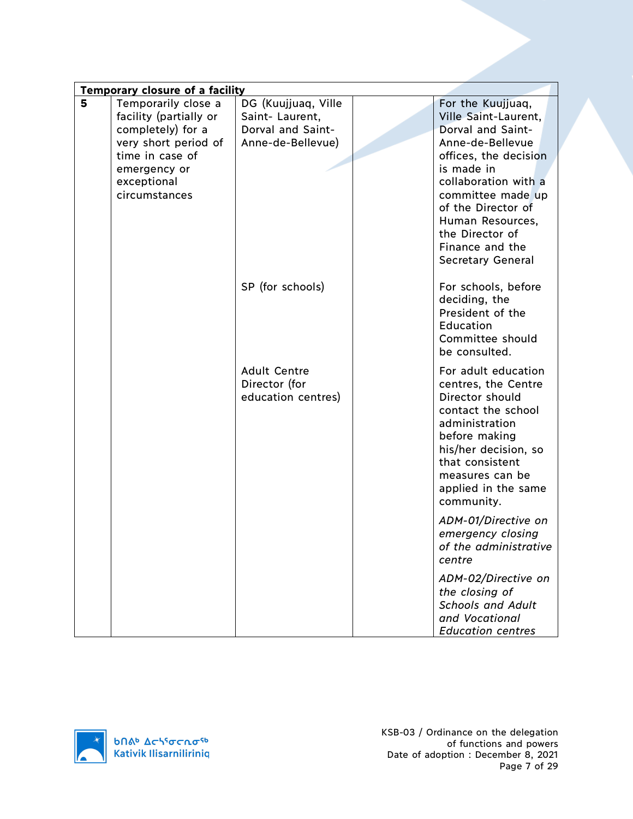|   | Temporary closure of a facility                                                            |                                                                                 |  |                                                                                                                                                                                                                           |
|---|--------------------------------------------------------------------------------------------|---------------------------------------------------------------------------------|--|---------------------------------------------------------------------------------------------------------------------------------------------------------------------------------------------------------------------------|
| 5 | Temporarily close a<br>facility (partially or<br>completely) for a<br>very short period of | DG (Kuujjuaq, Ville<br>Saint-Laurent,<br>Dorval and Saint-<br>Anne-de-Bellevue) |  | For the Kuujjuaq,<br>Ville Saint-Laurent,<br>Dorval and Saint-<br>Anne-de-Bellevue                                                                                                                                        |
|   | time in case of<br>emergency or<br>exceptional<br>circumstances                            |                                                                                 |  | offices, the decision<br>is made in<br>collaboration with a<br>committee made up<br>of the Director of<br>Human Resources,<br>the Director of<br>Finance and the<br><b>Secretary General</b>                              |
|   |                                                                                            | SP (for schools)                                                                |  | For schools, before<br>deciding, the<br>President of the<br>Education<br>Committee should<br>be consulted.                                                                                                                |
|   |                                                                                            | <b>Adult Centre</b><br>Director (for<br>education centres)                      |  | For adult education<br>centres, the Centre<br>Director should<br>contact the school<br>administration<br>before making<br>his/her decision, so<br>that consistent<br>measures can be<br>applied in the same<br>community. |
|   |                                                                                            |                                                                                 |  | ADM-01/Directive on<br>emergency closing<br>of the administrative<br>centre                                                                                                                                               |
|   |                                                                                            |                                                                                 |  | ADM-02/Directive on<br>the closing of<br><b>Schools and Adult</b><br>and Vocational<br><b>Education centres</b>                                                                                                           |

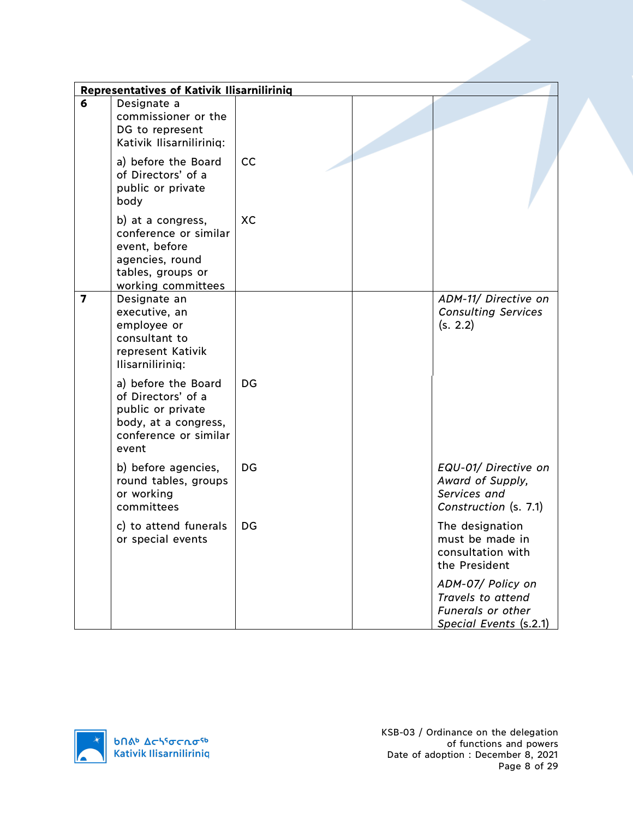|                | <b>Representatives of Kativik Ilisarniliriniq</b>                                                                         |    |                                                                                              |
|----------------|---------------------------------------------------------------------------------------------------------------------------|----|----------------------------------------------------------------------------------------------|
| 6              | Designate a<br>commissioner or the<br>DG to represent<br>Kativik Ilisarniliriniq:                                         |    |                                                                                              |
|                | a) before the Board<br>of Directors' of a<br>public or private<br>body                                                    | cc |                                                                                              |
|                | b) at a congress,<br>conference or similar<br>event, before<br>agencies, round<br>tables, groups or<br>working committees | XC |                                                                                              |
| $\overline{7}$ | Designate an<br>executive, an<br>employee or<br>consultant to<br>represent Kativik<br>Ilisarniliriniq:                    |    | ADM-11/ Directive on<br><b>Consulting Services</b><br>(s. 2.2)                               |
|                | a) before the Board<br>of Directors' of a<br>public or private<br>body, at a congress,<br>conference or similar<br>event  | DG |                                                                                              |
|                | b) before agencies,<br>round tables, groups<br>or working<br>committees                                                   | DG | EQU-01/ Directive on<br>Award of Supply,<br>Services and<br>Construction (s. 7.1)            |
|                | c) to attend funerals<br>or special events                                                                                | DG | The designation<br>must be made in<br>consultation with<br>the President                     |
|                |                                                                                                                           |    | ADM-07/ Policy on<br>Travels to attend<br><b>Funerals or other</b><br>Special Events (s.2.1) |

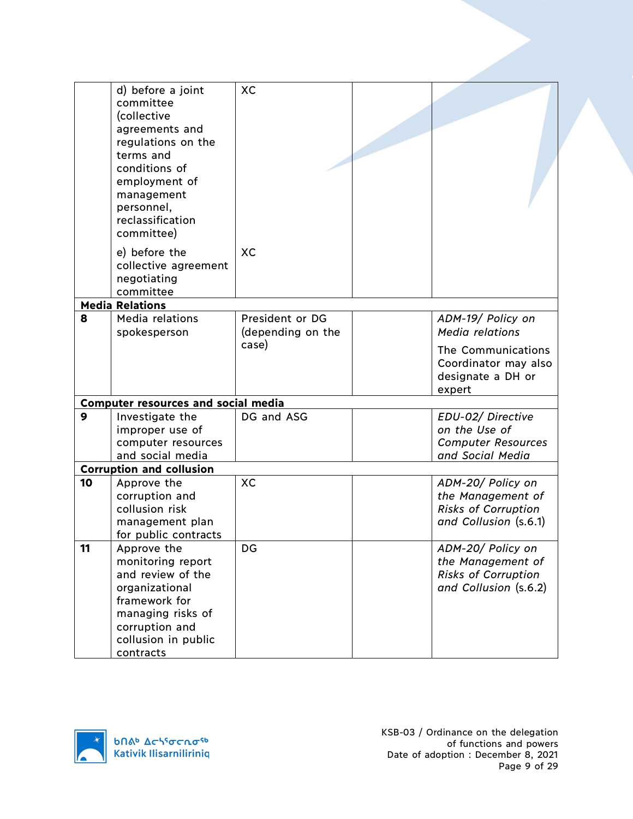|    | d) before a joint<br>committee<br>(collective<br>agreements and<br>regulations on the<br>terms and<br>conditions of<br>employment of<br>management<br>personnel,<br>reclassification<br>committee) | XC                |                                                                           |
|----|----------------------------------------------------------------------------------------------------------------------------------------------------------------------------------------------------|-------------------|---------------------------------------------------------------------------|
|    | e) before the<br>collective agreement<br>negotiating<br>committee                                                                                                                                  | XC                |                                                                           |
|    | <b>Media Relations</b>                                                                                                                                                                             |                   |                                                                           |
| 8  | Media relations                                                                                                                                                                                    | President or DG   | ADM-19/ Policy on                                                         |
|    | spokesperson                                                                                                                                                                                       | (depending on the | <b>Media relations</b>                                                    |
|    |                                                                                                                                                                                                    | case)             | The Communications<br>Coordinator may also<br>designate a DH or<br>expert |
|    | <b>Computer resources and social media</b>                                                                                                                                                         |                   |                                                                           |
| 9  | Investigate the                                                                                                                                                                                    | DG and ASG        | EDU-02/ Directive                                                         |
|    | improper use of                                                                                                                                                                                    |                   | on the Use of                                                             |
|    | computer resources                                                                                                                                                                                 |                   | <b>Computer Resources</b>                                                 |
|    | and social media<br><b>Corruption and collusion</b>                                                                                                                                                |                   | and Social Media                                                          |
| 10 | Approve the                                                                                                                                                                                        | XC                | ADM-20/ Policy on                                                         |
|    | corruption and                                                                                                                                                                                     |                   | the Management of                                                         |
|    | collusion risk                                                                                                                                                                                     |                   | <b>Risks of Corruption</b>                                                |
|    | management plan                                                                                                                                                                                    |                   | and Collusion (s.6.1)                                                     |
|    | for public contracts                                                                                                                                                                               |                   |                                                                           |
| 11 | Approve the                                                                                                                                                                                        | DG                | ADM-20/ Policy on                                                         |
|    | monitoring report                                                                                                                                                                                  |                   | the Management of                                                         |
|    | and review of the                                                                                                                                                                                  |                   | <b>Risks of Corruption</b>                                                |
|    | organizational                                                                                                                                                                                     |                   | and Collusion (s.6.2)                                                     |
|    | framework for<br>managing risks of                                                                                                                                                                 |                   |                                                                           |
|    | corruption and                                                                                                                                                                                     |                   |                                                                           |
|    | collusion in public                                                                                                                                                                                |                   |                                                                           |
|    | contracts                                                                                                                                                                                          |                   |                                                                           |

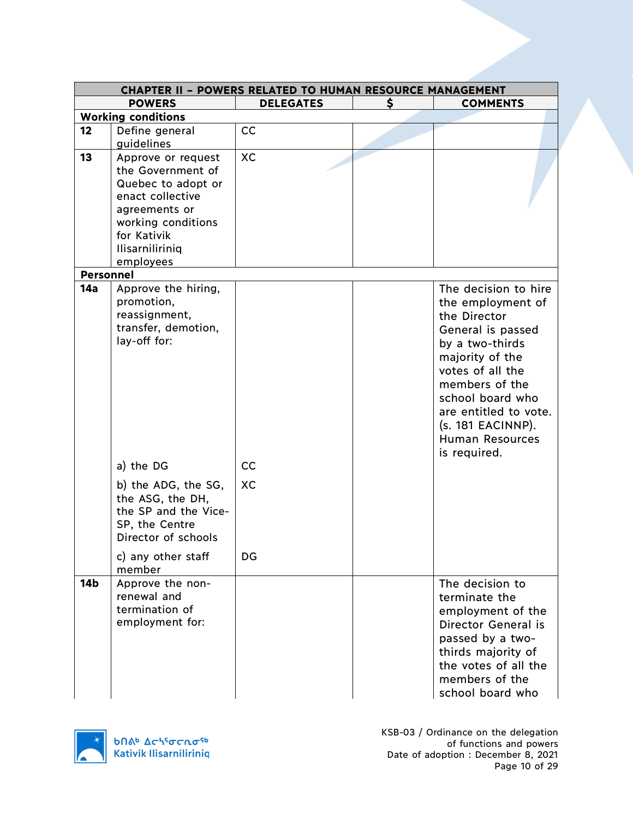|                  |                                                                                                                                         | <b>CHAPTER II - POWERS RELATED TO HUMAN RESOURCE MANAGEMENT</b> |                                                                                                                                                                                                                                                                          |
|------------------|-----------------------------------------------------------------------------------------------------------------------------------------|-----------------------------------------------------------------|--------------------------------------------------------------------------------------------------------------------------------------------------------------------------------------------------------------------------------------------------------------------------|
|                  | <b>POWERS</b>                                                                                                                           | <b>DELEGATES</b>                                                | \$<br><b>COMMENTS</b>                                                                                                                                                                                                                                                    |
|                  | <b>Working conditions</b>                                                                                                               |                                                                 |                                                                                                                                                                                                                                                                          |
| 12               | Define general                                                                                                                          | cc                                                              |                                                                                                                                                                                                                                                                          |
|                  | guidelines                                                                                                                              |                                                                 |                                                                                                                                                                                                                                                                          |
| 13               | Approve or request<br>the Government of<br>Quebec to adopt or<br>enact collective<br>agreements or<br>working conditions<br>for Kativik | XC                                                              |                                                                                                                                                                                                                                                                          |
|                  | <b>Ilisarniliriniq</b>                                                                                                                  |                                                                 |                                                                                                                                                                                                                                                                          |
|                  | employees                                                                                                                               |                                                                 |                                                                                                                                                                                                                                                                          |
| <b>Personnel</b> |                                                                                                                                         |                                                                 |                                                                                                                                                                                                                                                                          |
| 14a              | Approve the hiring,<br>promotion,<br>reassignment,<br>transfer, demotion,<br>lay-off for:                                               |                                                                 | The decision to hire<br>the employment of<br>the Director<br>General is passed<br>by a two-thirds<br>majority of the<br>votes of all the<br>members of the<br>school board who<br>are entitled to vote.<br>$(s. 181$ EACINNP).<br><b>Human Resources</b><br>is required. |
|                  | a) the DG                                                                                                                               | cc                                                              |                                                                                                                                                                                                                                                                          |
|                  | b) the ADG, the SG,<br>the ASG, the DH,<br>the SP and the Vice-<br>SP, the Centre<br>Director of schools                                | XC                                                              |                                                                                                                                                                                                                                                                          |
|                  | c) any other staff<br>member                                                                                                            | DG                                                              |                                                                                                                                                                                                                                                                          |
| 14 <sub>b</sub>  | Approve the non-<br>renewal and<br>termination of<br>employment for:                                                                    |                                                                 | The decision to<br>terminate the<br>employment of the<br>Director General is<br>passed by a two-<br>thirds majority of<br>the votes of all the<br>members of the<br>school board who                                                                                     |

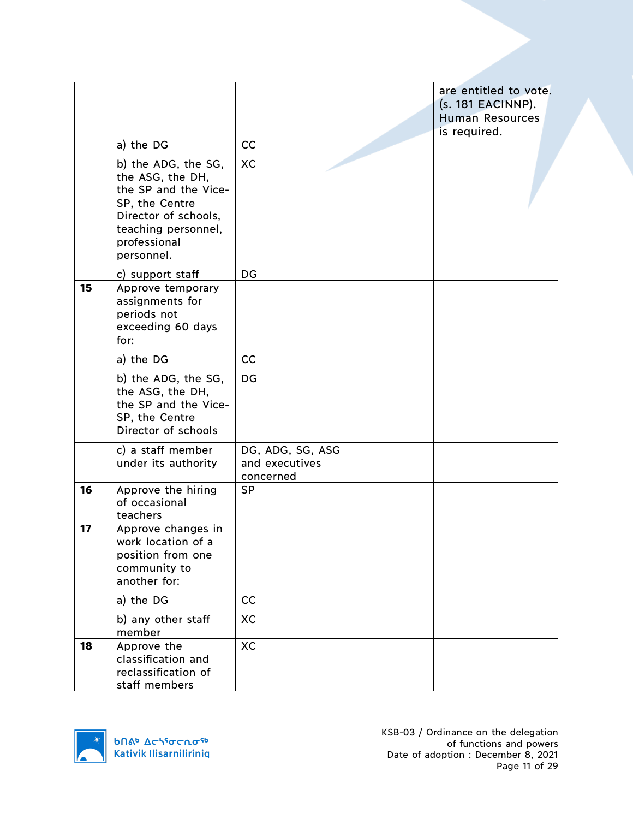|    | a) the DG<br>b) the ADG, the SG,<br>the ASG, the DH,<br>the SP and the Vice-<br>SP, the Centre<br>Director of schools,<br>teaching personnel,<br>professional<br>personnel. | cc<br>XC                                        | are entitled to vote.<br>$(s. 181$ EACINNP).<br><b>Human Resources</b><br>is required. |
|----|-----------------------------------------------------------------------------------------------------------------------------------------------------------------------------|-------------------------------------------------|----------------------------------------------------------------------------------------|
|    | c) support staff                                                                                                                                                            | DG                                              |                                                                                        |
| 15 | Approve temporary<br>assignments for<br>periods not<br>exceeding 60 days<br>for:                                                                                            |                                                 |                                                                                        |
|    | a) the DG                                                                                                                                                                   | cc                                              |                                                                                        |
|    | b) the ADG, the SG,<br>the ASG, the DH,<br>the SP and the Vice-<br>SP, the Centre<br>Director of schools                                                                    | DG                                              |                                                                                        |
|    | c) a staff member<br>under its authority                                                                                                                                    | DG, ADG, SG, ASG<br>and executives<br>concerned |                                                                                        |
| 16 | Approve the hiring<br>of occasional<br>teachers                                                                                                                             | <b>SP</b>                                       |                                                                                        |
| 17 | Approve changes in<br>work location of a<br>position from one<br>community to<br>another for:                                                                               |                                                 |                                                                                        |
|    | a) the DG                                                                                                                                                                   | cc                                              |                                                                                        |
|    | b) any other staff<br>member                                                                                                                                                | XC                                              |                                                                                        |
| 18 | Approve the<br>classification and<br>reclassification of<br>staff members                                                                                                   | XC                                              |                                                                                        |

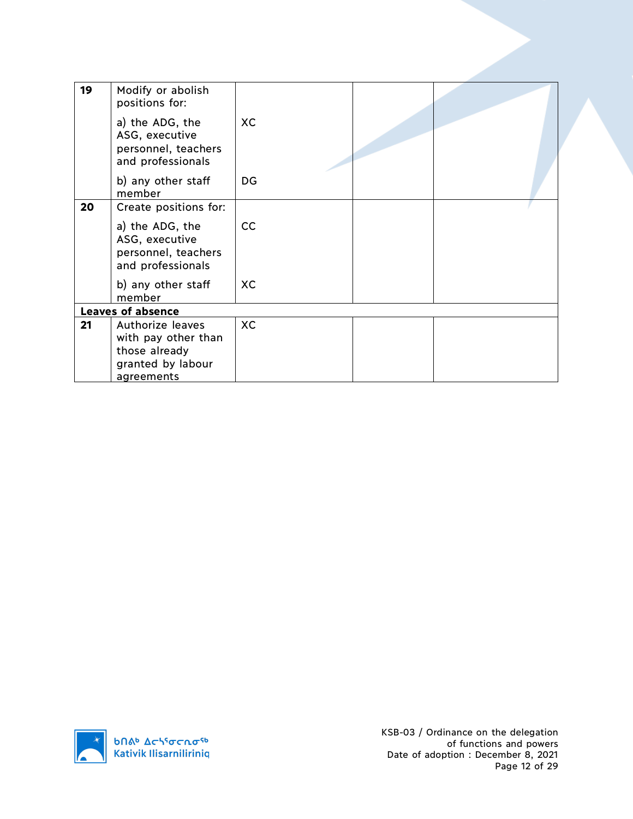|    | and professionals<br>b) any other staff<br>member<br><b>Leaves of absence</b> | <b>XC</b> |  |
|----|-------------------------------------------------------------------------------|-----------|--|
|    | ASG, executive<br>personnel, teachers                                         |           |  |
| 20 | Create positions for:<br>a) the ADG, the                                      | cc        |  |
|    | b) any other staff<br>member                                                  | DG        |  |
|    | a) the ADG, the<br>ASG, executive<br>personnel, teachers<br>and professionals | <b>XC</b> |  |
| 19 | Modify or abolish<br>positions for:                                           |           |  |

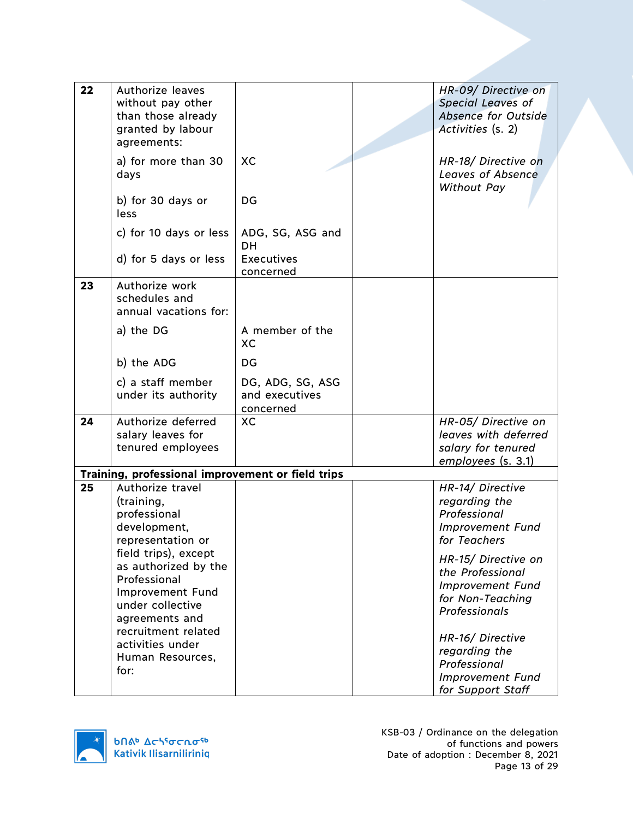| 22 | Authorize leaves<br>without pay other<br>than those already<br>granted by labour<br>agreements:                        |                                                 | HR-09/ Directive on<br><b>Special Leaves of</b><br><b>Absence for Outside</b><br>Activities (s. 2)      |
|----|------------------------------------------------------------------------------------------------------------------------|-------------------------------------------------|---------------------------------------------------------------------------------------------------------|
|    | a) for more than 30<br>days                                                                                            | XC                                              | HR-18/ Directive on<br><b>Leaves of Absence</b><br>Without Pay                                          |
|    | b) for 30 days or<br>less                                                                                              | DG                                              |                                                                                                         |
|    | c) for 10 days or less                                                                                                 | ADG, SG, ASG and<br><b>DH</b>                   |                                                                                                         |
|    | d) for 5 days or less                                                                                                  | <b>Executives</b><br>concerned                  |                                                                                                         |
| 23 | Authorize work<br>schedules and<br>annual vacations for:                                                               |                                                 |                                                                                                         |
|    | a) the DG                                                                                                              | A member of the<br>XC                           |                                                                                                         |
|    | b) the ADG                                                                                                             | DG.                                             |                                                                                                         |
|    | c) a staff member<br>under its authority                                                                               | DG, ADG, SG, ASG<br>and executives<br>concerned |                                                                                                         |
| 24 | Authorize deferred<br>salary leaves for<br>tenured employees                                                           | XC                                              | HR-05/ Directive on<br>leaves with deferred<br>salary for tenured<br>employees (s. 3.1)                 |
|    | Training, professional improvement or field trips                                                                      |                                                 |                                                                                                         |
| 25 | Authorize travel<br>(training,<br>professional<br>development,<br>representation or                                    |                                                 | HR-14/ Directive<br>regarding the<br>Professional<br><b>Improvement Fund</b><br>for Teachers            |
|    | field trips), except<br>as authorized by the<br>Professional<br>Improvement Fund<br>under collective<br>agreements and |                                                 | HR-15/ Directive on<br>the Professional<br><b>Improvement Fund</b><br>for Non-Teaching<br>Professionals |
|    | recruitment related<br>activities under<br>Human Resources,<br>for:                                                    |                                                 | HR-16/ Directive<br>regarding the<br>Professional<br><b>Improvement Fund</b><br>for Support Staff       |

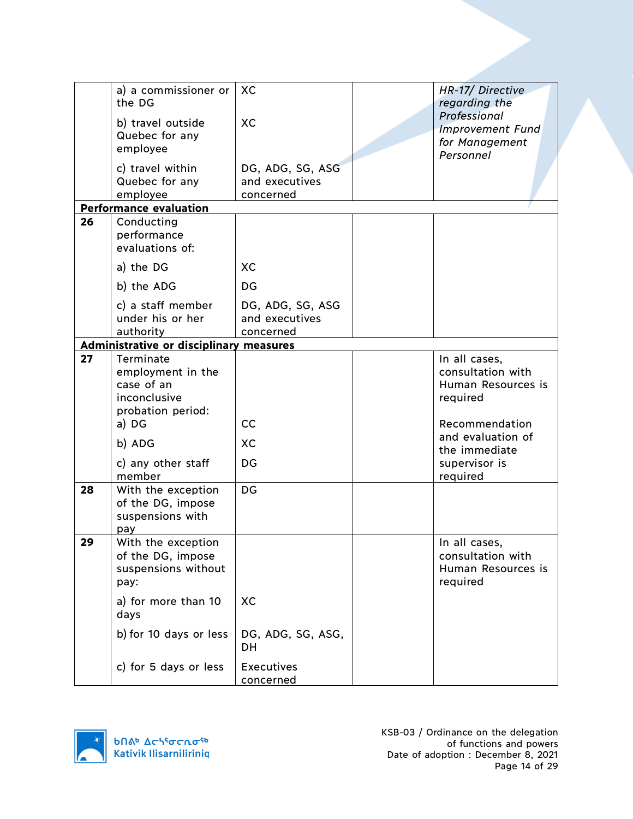|    | a) a commissioner or                    | XC                                 | HR-17/ Directive                        |
|----|-----------------------------------------|------------------------------------|-----------------------------------------|
|    | the DG                                  |                                    | regarding the                           |
|    | b) travel outside                       | XC                                 | Professional                            |
|    | Quebec for any                          |                                    | <b>Improvement Fund</b>                 |
|    | employee                                |                                    | for Management                          |
|    |                                         |                                    | Personnel                               |
|    | c) travel within<br>Quebec for any      | DG, ADG, SG, ASG<br>and executives |                                         |
|    | employee                                | concerned                          |                                         |
|    | <b>Performance evaluation</b>           |                                    |                                         |
| 26 | Conducting                              |                                    |                                         |
|    | performance                             |                                    |                                         |
|    | evaluations of:                         |                                    |                                         |
|    | a) the DG                               | XC                                 |                                         |
|    | b) the ADG                              | DG                                 |                                         |
|    | c) a staff member                       | DG, ADG, SG, ASG                   |                                         |
|    | under his or her                        | and executives                     |                                         |
|    | authority                               | concerned                          |                                         |
|    | Administrative or disciplinary measures |                                    |                                         |
| 27 | Terminate                               |                                    | In all cases,                           |
|    | employment in the                       |                                    | consultation with                       |
|    | case of an                              |                                    | Human Resources is                      |
|    | inconclusive                            |                                    | required                                |
|    | probation period:                       | cc                                 |                                         |
|    | a) DG                                   |                                    | Recommendation<br>and evaluation of     |
|    | b) ADG                                  | XC                                 | the immediate                           |
|    | c) any other staff                      | DG                                 | supervisor is                           |
|    | member                                  |                                    | required                                |
| 28 | With the exception                      | DG                                 |                                         |
|    | of the DG, impose                       |                                    |                                         |
|    | suspensions with                        |                                    |                                         |
|    | pay                                     |                                    |                                         |
| 29 | With the exception                      |                                    | In all cases,                           |
|    | of the DG, impose                       |                                    | consultation with<br>Human Resources is |
|    | suspensions without<br>pay:             |                                    | required                                |
|    |                                         |                                    |                                         |
|    | a) for more than 10<br>days             | XC                                 |                                         |
|    | b) for 10 days or less                  | DG, ADG, SG, ASG,                  |                                         |
|    |                                         | DH                                 |                                         |
|    |                                         |                                    |                                         |
|    | c) for 5 days or less                   | <b>Executives</b>                  |                                         |
|    |                                         | concerned                          |                                         |

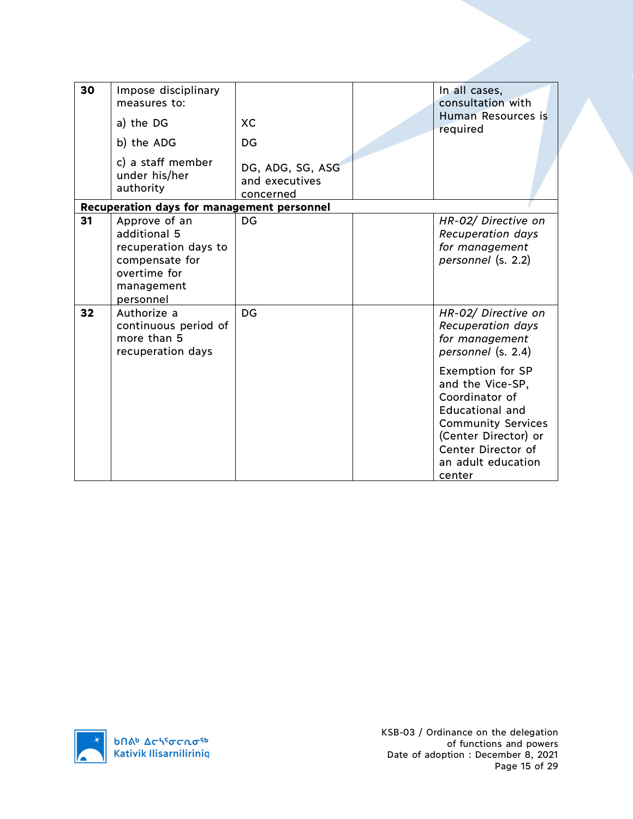| 30 | Impose disciplinary<br>measures to:<br>a) the DG<br>b) the ADG<br>c) a staff member<br>under his/her<br>authority  | XC<br>DG<br>DG, ADG, SG, ASG<br>and executives<br>concerned | In all cases,<br>consultation with<br>Human Resources is<br>required                                                                                                                                                                                                                   |
|----|--------------------------------------------------------------------------------------------------------------------|-------------------------------------------------------------|----------------------------------------------------------------------------------------------------------------------------------------------------------------------------------------------------------------------------------------------------------------------------------------|
|    | Recuperation days for management personnel                                                                         |                                                             |                                                                                                                                                                                                                                                                                        |
| 31 | Approve of an<br>additional 5<br>recuperation days to<br>compensate for<br>overtime for<br>management<br>personnel | DG                                                          | HR-02/ Directive on<br><b>Recuperation days</b><br>for management<br>personnel (s. 2.2)                                                                                                                                                                                                |
| 32 | Authorize a<br>continuous period of<br>more than 5<br>recuperation days                                            | DG                                                          | HR-02/ Directive on<br><b>Recuperation days</b><br>for management<br>personnel (s. 2.4)<br><b>Exemption for SP</b><br>and the Vice-SP,<br>Coordinator of<br>Educational and<br><b>Community Services</b><br>(Center Director) or<br>Center Director of<br>an adult education<br>center |

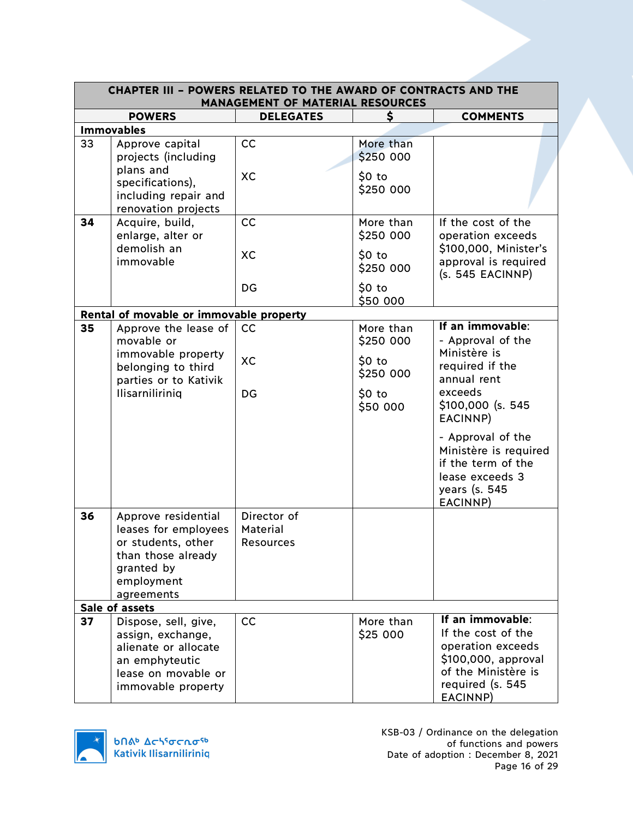| <b>CHAPTER III - POWERS RELATED TO THE AWARD OF CONTRACTS AND THE</b><br><b>MANAGEMENT OF MATERIAL RESOURCES</b> |                                                                                                                                   |                                      |                        |                                                                                                                                           |  |
|------------------------------------------------------------------------------------------------------------------|-----------------------------------------------------------------------------------------------------------------------------------|--------------------------------------|------------------------|-------------------------------------------------------------------------------------------------------------------------------------------|--|
|                                                                                                                  | <b>POWERS</b>                                                                                                                     | <b>DELEGATES</b>                     |                        | <b>COMMENTS</b>                                                                                                                           |  |
|                                                                                                                  | <b>Immovables</b>                                                                                                                 |                                      |                        |                                                                                                                                           |  |
| 33                                                                                                               | Approve capital<br>projects (including                                                                                            | cc                                   | More than<br>\$250 000 |                                                                                                                                           |  |
|                                                                                                                  | plans and<br>specifications),<br>including repair and<br>renovation projects                                                      | XC                                   | $$0$ to<br>\$250 000   |                                                                                                                                           |  |
| 34                                                                                                               | Acquire, build,<br>enlarge, alter or<br>demolish an                                                                               | CC                                   | More than<br>\$250 000 | If the cost of the<br>operation exceeds                                                                                                   |  |
|                                                                                                                  | immovable                                                                                                                         | XC                                   | $$0$ to<br>\$250 000   | \$100,000, Minister's<br>approval is required<br>(s. 545 EACINNP)                                                                         |  |
|                                                                                                                  |                                                                                                                                   | DG                                   | $$0$ to<br>\$50 000    |                                                                                                                                           |  |
|                                                                                                                  | Rental of movable or immovable property                                                                                           |                                      |                        |                                                                                                                                           |  |
| 35                                                                                                               | Approve the lease of<br>movable or                                                                                                | cc                                   | More than<br>\$250 000 | If an immovable:<br>- Approval of the<br>Ministère is                                                                                     |  |
|                                                                                                                  | immovable property<br>belonging to third<br>parties or to Kativik                                                                 | XC                                   | $$0$ to<br>\$250 000   | required if the<br>annual rent                                                                                                            |  |
|                                                                                                                  | Ilisarniliriniq                                                                                                                   | DG                                   | $$0$ to<br>\$50 000    | exceeds<br>$$100,000$ (s. 545)<br>EACINNP)                                                                                                |  |
|                                                                                                                  |                                                                                                                                   |                                      |                        | - Approval of the<br>Ministère is required<br>if the term of the<br>lease exceeds 3<br>years (s. 545<br>EACINNP)                          |  |
| 36                                                                                                               | Approve residential<br>leases for employees<br>or students, other<br>than those already<br>granted by<br>employment<br>agreements | Director of<br>Material<br>Resources |                        |                                                                                                                                           |  |
|                                                                                                                  | Sale of assets                                                                                                                    |                                      |                        |                                                                                                                                           |  |
| 37                                                                                                               | Dispose, sell, give,<br>assign, exchange,<br>alienate or allocate<br>an emphyteutic<br>lease on movable or<br>immovable property  | cc                                   | More than<br>\$25 000  | If an immovable:<br>If the cost of the<br>operation exceeds<br>\$100,000, approval<br>of the Ministère is<br>required (s. 545<br>EACINNP) |  |

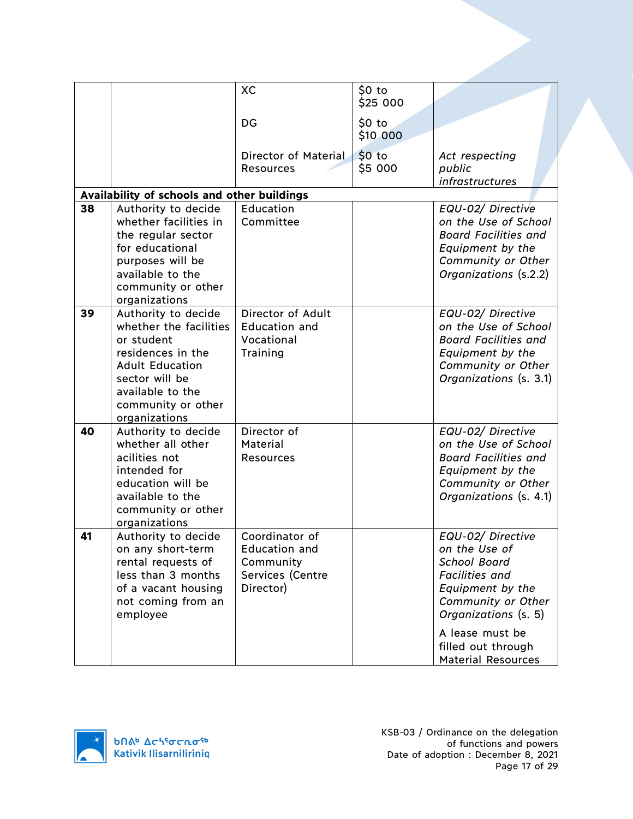|    |                                                                                                                                                                                         | XC                                                                                   | $$0$ to<br>\$25 000 |                                                                                                                                                                                                                            |
|----|-----------------------------------------------------------------------------------------------------------------------------------------------------------------------------------------|--------------------------------------------------------------------------------------|---------------------|----------------------------------------------------------------------------------------------------------------------------------------------------------------------------------------------------------------------------|
|    |                                                                                                                                                                                         | DG                                                                                   | $$0$ to<br>\$10 000 |                                                                                                                                                                                                                            |
|    |                                                                                                                                                                                         | Director of Material<br><b>Resources</b>                                             | \$0 to<br>\$5000    | Act respecting<br>public<br><i>infrastructures</i>                                                                                                                                                                         |
|    | Availability of schools and other buildings                                                                                                                                             |                                                                                      |                     |                                                                                                                                                                                                                            |
| 38 | Authority to decide<br>whether facilities in<br>the regular sector<br>for educational<br>purposes will be<br>available to the<br>community or other<br>organizations                    | Education<br>Committee                                                               |                     | EQU-02/ Directive<br>on the Use of School<br><b>Board Facilities and</b><br>Equipment by the<br>Community or Other<br>Organizations (s.2.2)                                                                                |
| 39 | Authority to decide<br>whether the facilities<br>or student<br>residences in the<br><b>Adult Education</b><br>sector will be<br>available to the<br>community or other<br>organizations | Director of Adult<br><b>Education and</b><br>Vocational<br>Training                  |                     | EQU-02/ Directive<br>on the Use of School<br><b>Board Facilities and</b><br>Equipment by the<br>Community or Other<br>Organizations (s. 3.1)                                                                               |
| 40 | Authority to decide<br>whether all other<br>acilities not<br>intended for<br>education will be<br>available to the<br>community or other<br>organizations                               | Director of<br><b>Material</b><br><b>Resources</b>                                   |                     | EQU-02/ Directive<br>on the Use of School<br><b>Board Facilities and</b><br>Equipment by the<br>Community or Other<br>Organizations (s. 4.1)                                                                               |
| 41 | Authority to decide<br>on any short-term<br>rental requests of<br>less than 3 months<br>of a vacant housing<br>not coming from an<br>employee                                           | Coordinator of<br><b>Education and</b><br>Community<br>Services (Centre<br>Director) |                     | EQU-02/ Directive<br>on the Use of<br><b>School Board</b><br><b>Facilities and</b><br>Equipment by the<br>Community or Other<br>Organizations (s. 5)<br>A lease must be<br>filled out through<br><b>Material Resources</b> |

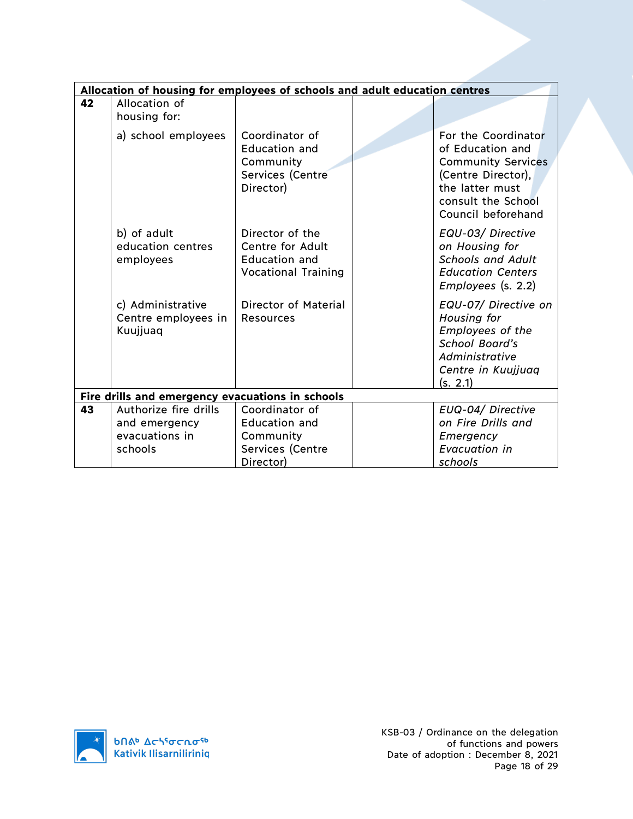|    | Allocation of housing for employees of schools and adult education centres |                                                                                                  |                                                                                                                                                           |
|----|----------------------------------------------------------------------------|--------------------------------------------------------------------------------------------------|-----------------------------------------------------------------------------------------------------------------------------------------------------------|
| 42 | Allocation of<br>housing for:                                              |                                                                                                  |                                                                                                                                                           |
|    | a) school employees                                                        | Coordinator of<br><b>Education and</b><br>Community<br>Services (Centre<br>Director)             | For the Coordinator<br>of Education and<br><b>Community Services</b><br>(Centre Director),<br>the latter must<br>consult the School<br>Council beforehand |
|    | b) of adult<br>education centres<br>employees                              | Director of the<br><b>Centre for Adult</b><br><b>Education and</b><br><b>Vocational Training</b> | EQU-03/ Directive<br>on Housing for<br><b>Schools and Adult</b><br><b>Education Centers</b><br>$Employes$ (s. 2.2)                                        |
|    | c) Administrative<br>Centre employees in<br>Kuujjuaq                       | <b>Director of Material</b><br><b>Resources</b>                                                  | EQU-07/ Directive on<br>Housing for<br>Employees of the<br><b>School Board's</b><br>Administrative<br>Centre in Kuujjuaq<br>(s. 2.1)                      |
|    | Fire drills and emergency evacuations in schools                           |                                                                                                  |                                                                                                                                                           |
| 43 | Authorize fire drills<br>and emergency<br>evacuations in<br>schools        | Coordinator of<br><b>Education and</b><br>Community<br>Services (Centre                          | EUQ-04/ Directive<br>on Fire Drills and<br>Emergency<br>Evacuation in                                                                                     |
|    |                                                                            | Director)                                                                                        | schools                                                                                                                                                   |

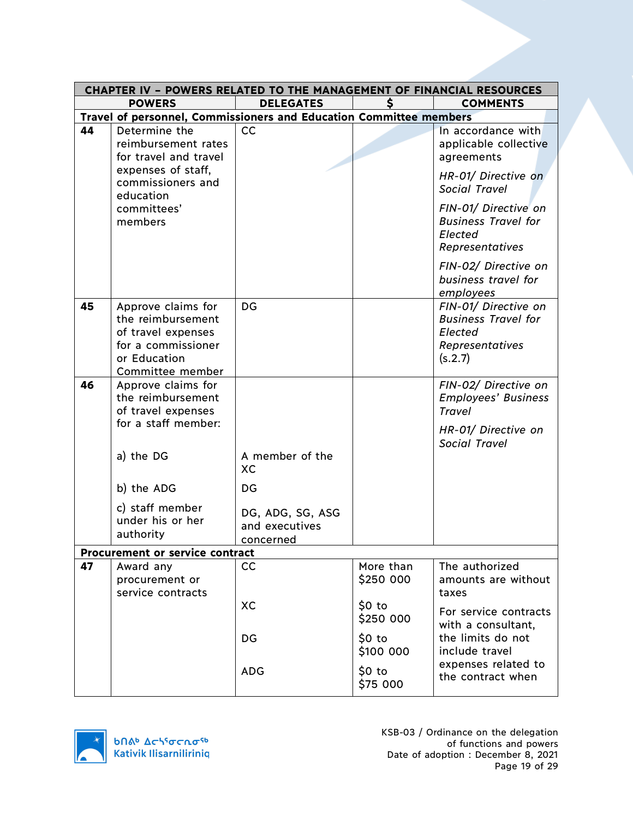|    | <b>CHAPTER IV - POWERS RELATED TO THE MANAGEMENT OF FINANCIAL RESOURCES</b>                                             |                                                 |                        |                                                                                             |  |
|----|-------------------------------------------------------------------------------------------------------------------------|-------------------------------------------------|------------------------|---------------------------------------------------------------------------------------------|--|
|    | <b>POWERS</b>                                                                                                           | <b>DELEGATES</b>                                |                        | <b>COMMENTS</b>                                                                             |  |
|    | Travel of personnel, Commissioners and Education Committee members                                                      |                                                 |                        |                                                                                             |  |
| 44 | Determine the<br>reimbursement rates<br>for travel and travel                                                           | cc                                              |                        | In accordance with<br>applicable collective<br>agreements                                   |  |
|    | expenses of staff,<br>commissioners and<br>education                                                                    |                                                 |                        | HR-01/ Directive on<br><b>Social Travel</b>                                                 |  |
|    | committees'<br>members                                                                                                  |                                                 |                        | FIN-01/ Directive on<br><b>Business Travel for</b><br>Elected<br>Representatives            |  |
|    |                                                                                                                         |                                                 |                        | FIN-02/ Directive on<br>business travel for<br>employees                                    |  |
| 45 | Approve claims for<br>the reimbursement<br>of travel expenses<br>for a commissioner<br>or Education<br>Committee member | DG                                              |                        | FIN-01/ Directive on<br><b>Business Travel for</b><br>Elected<br>Representatives<br>(s.2.7) |  |
| 46 | Approve claims for<br>the reimbursement<br>of travel expenses<br>for a staff member:                                    |                                                 |                        | FIN-02/ Directive on<br><b>Employees' Business</b><br><b>Travel</b><br>HR-01/ Directive on  |  |
|    | a) the DG                                                                                                               | A member of the<br>XC                           |                        | <b>Social Travel</b>                                                                        |  |
|    | b) the ADG                                                                                                              | DG                                              |                        |                                                                                             |  |
|    | c) staff member<br>under his or her<br>authority                                                                        | DG, ADG, SG, ASG<br>and executives<br>concerned |                        |                                                                                             |  |
|    | Procurement or service contract                                                                                         |                                                 |                        |                                                                                             |  |
| 47 | Award any<br>procurement or<br>service contracts                                                                        | cc                                              | More than<br>\$250 000 | The authorized<br>amounts are without<br>taxes                                              |  |
|    |                                                                                                                         | XC                                              | $$0$ to<br>\$250 000   | For service contracts<br>with a consultant,                                                 |  |
|    |                                                                                                                         | DG                                              | $$0$ to<br>\$100 000   | the limits do not<br>include travel<br>expenses related to                                  |  |
|    |                                                                                                                         | <b>ADG</b>                                      | \$0 to<br>\$75 000     | the contract when                                                                           |  |

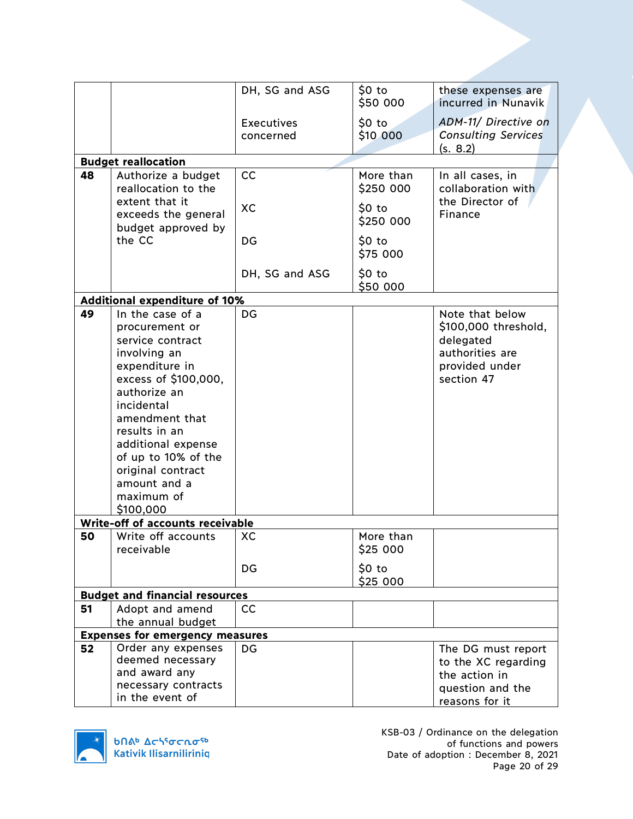|    |                                        | DH, SG and ASG    | $50$ to<br>\$50 000 | these expenses are<br>incurred in Nunavik |
|----|----------------------------------------|-------------------|---------------------|-------------------------------------------|
|    |                                        | <b>Executives</b> | $$0$ to             | ADM-11/ Directive on                      |
|    |                                        | concerned         | \$10 000            | <b>Consulting Services</b>                |
|    |                                        |                   |                     | (s. 8.2)                                  |
|    | <b>Budget reallocation</b>             |                   |                     |                                           |
| 48 | Authorize a budget                     | cc                | More than           | In all cases, in                          |
|    | reallocation to the                    |                   | \$250 000           | collaboration with                        |
|    | extent that it                         | <b>XC</b>         | $50$ to             | the Director of                           |
|    | exceeds the general                    |                   | \$250 000           | Finance                                   |
|    | budget approved by<br>the CC           | DG                | $$0$ to             |                                           |
|    |                                        |                   | \$75 000            |                                           |
|    |                                        |                   |                     |                                           |
|    |                                        | DH, SG and ASG    | $$0$ to             |                                           |
|    |                                        |                   | \$50 000            |                                           |
|    | <b>Additional expenditure of 10%</b>   |                   |                     |                                           |
| 49 | In the case of a                       | <b>DG</b>         |                     | Note that below                           |
|    | procurement or                         |                   |                     | \$100,000 threshold,                      |
|    | service contract                       |                   |                     | delegated<br>authorities are              |
|    | involving an<br>expenditure in         |                   |                     | provided under                            |
|    | excess of \$100,000,                   |                   |                     | section 47                                |
|    | authorize an                           |                   |                     |                                           |
|    | incidental                             |                   |                     |                                           |
|    | amendment that                         |                   |                     |                                           |
|    | results in an                          |                   |                     |                                           |
|    | additional expense                     |                   |                     |                                           |
|    | of up to 10% of the                    |                   |                     |                                           |
|    | original contract                      |                   |                     |                                           |
|    | amount and a                           |                   |                     |                                           |
|    | maximum of                             |                   |                     |                                           |
|    | \$100,000                              |                   |                     |                                           |
|    | Write-off of accounts receivable       |                   |                     |                                           |
| 50 | Write off accounts                     | XC                | More than           |                                           |
|    | receivable                             |                   | \$25 000            |                                           |
|    |                                        | DG                | \$0 to              |                                           |
|    |                                        |                   | \$25 000            |                                           |
|    | <b>Budget and financial resources</b>  |                   |                     |                                           |
| 51 | Adopt and amend                        | cc                |                     |                                           |
|    | the annual budget                      |                   |                     |                                           |
|    | <b>Expenses for emergency measures</b> |                   |                     |                                           |
| 52 | Order any expenses                     | <b>DG</b>         |                     | The DG must report                        |
|    | deemed necessary                       |                   |                     | to the XC regarding                       |
|    | and award any<br>necessary contracts   |                   |                     | the action in                             |
|    | in the event of                        |                   |                     | question and the<br>reasons for it        |
|    |                                        |                   |                     |                                           |



KSB-03 / Ordinance on the delegation of functions and powers Date of adoption : December 8, 2021 Page 20 of 29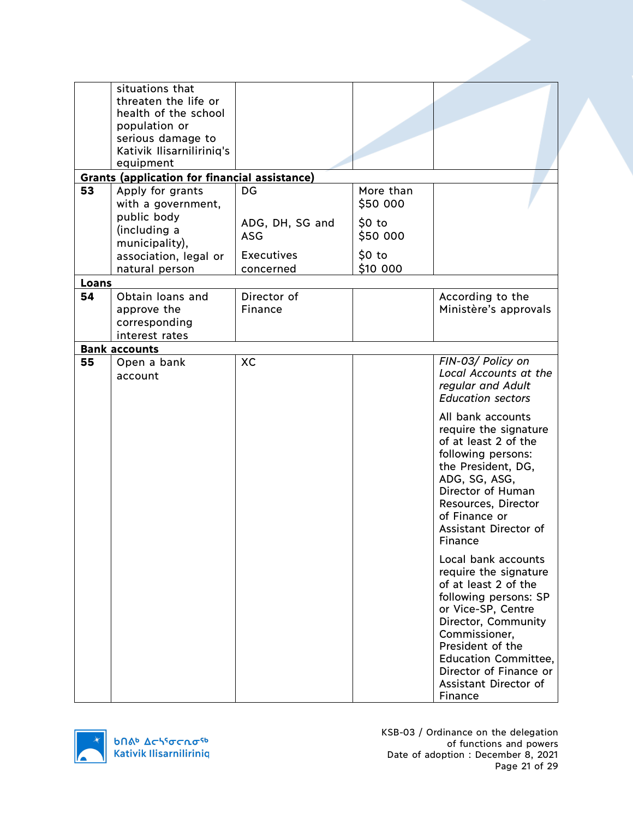|       | situations that                                                   |                   |           |                                   |
|-------|-------------------------------------------------------------------|-------------------|-----------|-----------------------------------|
|       | threaten the life or                                              |                   |           |                                   |
|       | health of the school                                              |                   |           |                                   |
|       | population or                                                     |                   |           |                                   |
|       | serious damage to                                                 |                   |           |                                   |
|       | Kativik Ilisarniliriniq's                                         |                   |           |                                   |
|       | equipment<br><b>Grants (application for financial assistance)</b> |                   |           |                                   |
| 53    |                                                                   | <b>DG</b>         | More than |                                   |
|       | Apply for grants<br>with a government,                            |                   | \$50 000  |                                   |
|       | public body                                                       |                   |           |                                   |
|       | (including a                                                      | ADG, DH, SG and   | \$0 to    |                                   |
|       | municipality),                                                    | <b>ASG</b>        | \$50 000  |                                   |
|       | association, legal or                                             | <b>Executives</b> | $$0$ to   |                                   |
|       | natural person                                                    | concerned         | \$10 000  |                                   |
| Loans |                                                                   |                   |           |                                   |
| 54    | Obtain loans and                                                  | Director of       |           | According to the                  |
|       | approve the                                                       | Finance           |           | Ministère's approvals             |
|       | corresponding                                                     |                   |           |                                   |
|       | interest rates                                                    |                   |           |                                   |
|       | <b>Bank accounts</b>                                              |                   |           |                                   |
| 55    | Open a bank                                                       | XC                |           | FIN-03/ Policy on                 |
|       | account                                                           |                   |           | Local Accounts at the             |
|       |                                                                   |                   |           | regular and Adult                 |
|       |                                                                   |                   |           | <b>Education sectors</b>          |
|       |                                                                   |                   |           | All bank accounts                 |
|       |                                                                   |                   |           | require the signature             |
|       |                                                                   |                   |           | of at least 2 of the              |
|       |                                                                   |                   |           | following persons:                |
|       |                                                                   |                   |           | the President, DG,                |
|       |                                                                   |                   |           | ADG, SG, ASG,                     |
|       |                                                                   |                   |           | Director of Human                 |
|       |                                                                   |                   |           | Resources, Director               |
|       |                                                                   |                   |           | of Finance or                     |
|       |                                                                   |                   |           | Assistant Director of             |
|       |                                                                   |                   |           | Finance                           |
|       |                                                                   |                   |           | Local bank accounts               |
|       |                                                                   |                   |           | require the signature             |
|       |                                                                   |                   |           | of at least 2 of the              |
|       |                                                                   |                   |           | following persons: SP             |
|       |                                                                   |                   |           | or Vice-SP, Centre                |
|       |                                                                   |                   |           | Director, Community               |
|       |                                                                   |                   |           | Commissioner,<br>President of the |
|       |                                                                   |                   |           | <b>Education Committee,</b>       |
|       |                                                                   |                   |           | Director of Finance or            |
|       |                                                                   |                   |           | Assistant Director of             |
|       |                                                                   |                   |           | Finance                           |



KSB-03 / Ordinance on the delegation of functions and powers Date of adoption : December 8, 2021 Page 21 of 29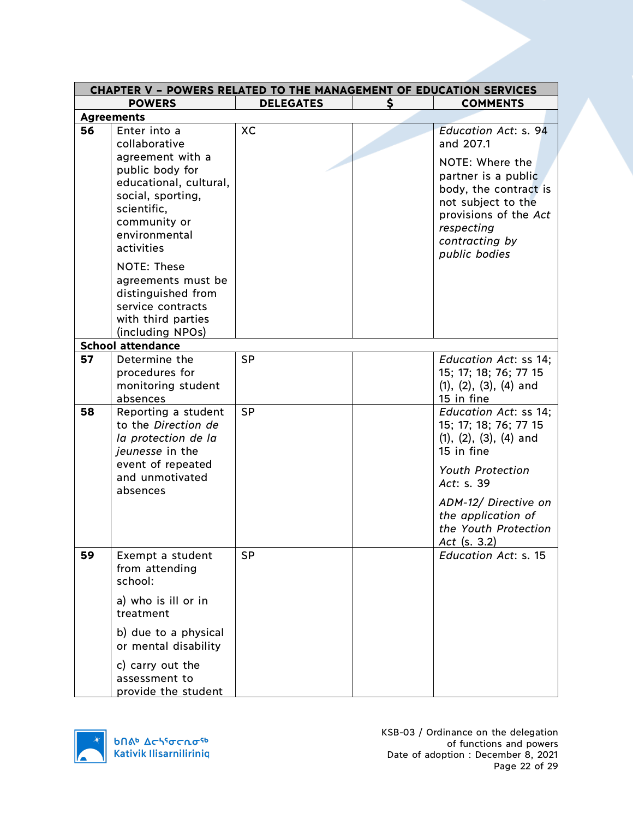| <b>CHAPTER V - POWERS RELATED TO THE MANAGEMENT OF EDUCATION SERVICES</b> |                                                                                                                                                                                                                                         |                  |    |                                                                                                                                                                                 |
|---------------------------------------------------------------------------|-----------------------------------------------------------------------------------------------------------------------------------------------------------------------------------------------------------------------------------------|------------------|----|---------------------------------------------------------------------------------------------------------------------------------------------------------------------------------|
|                                                                           | <b>POWERS</b>                                                                                                                                                                                                                           | <b>DELEGATES</b> | \$ | <b>COMMENTS</b>                                                                                                                                                                 |
|                                                                           | <b>Agreements</b>                                                                                                                                                                                                                       |                  |    |                                                                                                                                                                                 |
| 56                                                                        | Enter into a<br>collaborative                                                                                                                                                                                                           | <b>XC</b>        |    | <b>Education Act: s. 94</b><br>and 207.1                                                                                                                                        |
|                                                                           | agreement with a<br>public body for<br>educational, cultural,<br>social, sporting,<br>scientific,<br>community or<br>environmental<br>activities<br><b>NOTE: These</b><br>agreements must be<br>distinguished from<br>service contracts |                  |    | NOTE: Where the<br>partner is a public<br>body, the contract is<br>not subject to the<br>provisions of the Act<br>respecting<br>contracting by<br>public bodies                 |
|                                                                           | with third parties<br>(including NPOs)                                                                                                                                                                                                  |                  |    |                                                                                                                                                                                 |
|                                                                           | <b>School attendance</b>                                                                                                                                                                                                                |                  |    |                                                                                                                                                                                 |
| 57                                                                        | Determine the<br>procedures for<br>monitoring student<br>absences                                                                                                                                                                       | <b>SP</b>        |    | Education Act: ss 14;<br>15; 17; 18; 76; 77 15<br>$(1), (2), (3), (4)$ and<br>15 in fine                                                                                        |
| 58                                                                        | Reporting a student<br>to the Direction de<br>la protection de la<br>jeunesse in the<br>event of repeated<br>and unmotivated<br>absences                                                                                                | <b>SP</b>        |    | Education Act: ss 14;<br>15; 17; 18; 76; 77 15<br>$(1), (2), (3), (4)$ and<br>15 in fine<br><b>Youth Protection</b><br>Act: s. 39<br>ADM-12/ Directive on<br>the application of |
|                                                                           |                                                                                                                                                                                                                                         |                  |    | the Youth Protection<br>Act $(s. 3.2)$                                                                                                                                          |
| 59                                                                        | Exempt a student<br>from attending<br>school:                                                                                                                                                                                           | <b>SP</b>        |    | <b>Education Act: s. 15</b>                                                                                                                                                     |
|                                                                           | a) who is ill or in<br>treatment                                                                                                                                                                                                        |                  |    |                                                                                                                                                                                 |
|                                                                           | b) due to a physical<br>or mental disability                                                                                                                                                                                            |                  |    |                                                                                                                                                                                 |
|                                                                           | c) carry out the<br>assessment to<br>provide the student                                                                                                                                                                                |                  |    |                                                                                                                                                                                 |

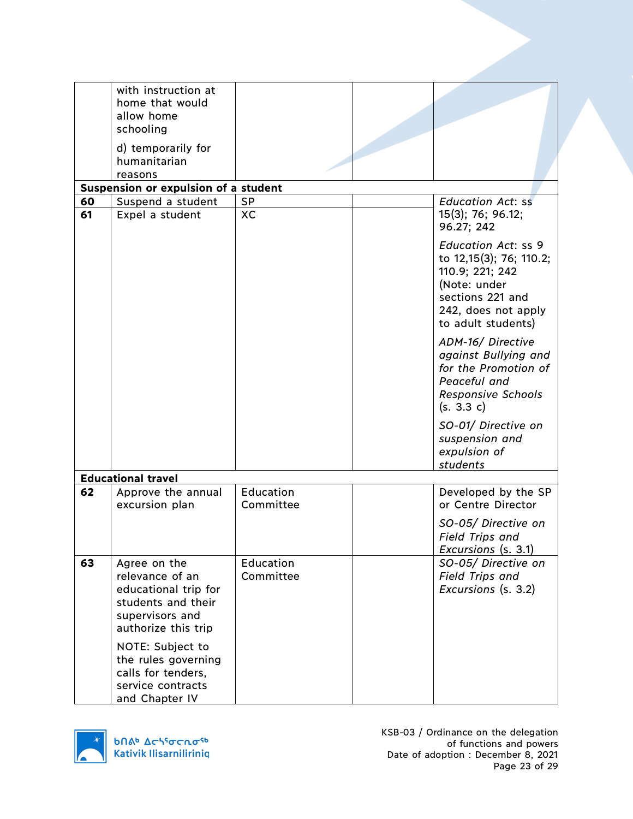|          | with instruction at<br>home that would<br>allow home<br>schooling<br>d) temporarily for<br>humanitarian<br>reasons                                                                                                              |                        |                                                                                                                                                           |
|----------|---------------------------------------------------------------------------------------------------------------------------------------------------------------------------------------------------------------------------------|------------------------|-----------------------------------------------------------------------------------------------------------------------------------------------------------|
|          | Suspension or expulsion of a student                                                                                                                                                                                            |                        |                                                                                                                                                           |
| 60<br>61 | Suspend a student<br>Expel a student                                                                                                                                                                                            | <b>SP</b><br><b>XC</b> | <b>Education Act: ss</b><br>15(3); 76; 96.12;                                                                                                             |
|          |                                                                                                                                                                                                                                 |                        | 96.27; 242                                                                                                                                                |
|          |                                                                                                                                                                                                                                 |                        | <b>Education Act: ss 9</b><br>to 12,15(3); 76; 110.2;<br>110.9; 221; 242<br>(Note: under<br>sections 221 and<br>242, does not apply<br>to adult students) |
|          |                                                                                                                                                                                                                                 |                        | ADM-16/ Directive<br>against Bullying and<br>for the Promotion of<br>Peaceful and<br><b>Responsive Schools</b><br>(s. 3.3 c)                              |
|          |                                                                                                                                                                                                                                 |                        | SO-01/ Directive on<br>suspension and<br>expulsion of<br>students                                                                                         |
|          | <b>Educational travel</b>                                                                                                                                                                                                       |                        |                                                                                                                                                           |
| 62       | Approve the annual<br>excursion plan                                                                                                                                                                                            | Education<br>Committee | Developed by the SP<br>or Centre Director                                                                                                                 |
|          |                                                                                                                                                                                                                                 |                        | SO-05/ Directive on<br><b>Field Trips and</b><br>Excursions (s. 3.1)                                                                                      |
| 63       | Agree on the<br>relevance of an<br>educational trip for<br>students and their<br>supervisors and<br>authorize this trip<br>NOTE: Subject to<br>the rules governing<br>calls for tenders,<br>service contracts<br>and Chapter IV | Education<br>Committee | SO-05/ Directive on<br><b>Field Trips and</b><br>Excursions (s. 3.2)                                                                                      |

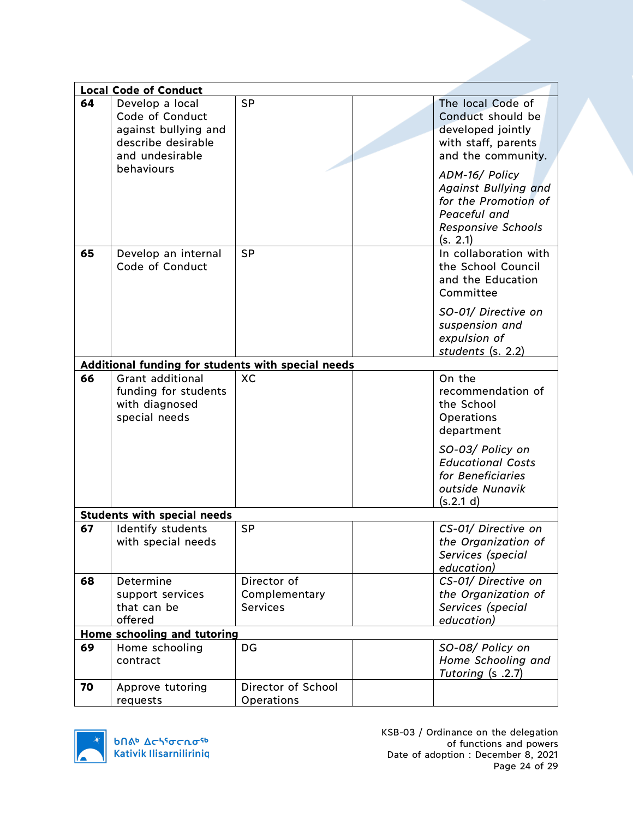|    | <b>Local Code of Conduct</b>                                                                                      |                                                 |                                                                                                                                                                                                                                     |
|----|-------------------------------------------------------------------------------------------------------------------|-------------------------------------------------|-------------------------------------------------------------------------------------------------------------------------------------------------------------------------------------------------------------------------------------|
| 64 | Develop a local<br>Code of Conduct<br>against bullying and<br>describe desirable<br>and undesirable<br>behaviours | <b>SP</b>                                       | The local Code of<br>Conduct should be<br>developed jointly<br>with staff, parents<br>and the community.<br>ADM-16/ Policy<br>Against Bullying and<br>for the Promotion of<br>Peaceful and<br><b>Responsive Schools</b><br>(s. 2.1) |
| 65 | Develop an internal<br>Code of Conduct                                                                            | <b>SP</b>                                       | In collaboration with<br>the School Council<br>and the Education<br>Committee<br>SO-01/ Directive on<br>suspension and<br>expulsion of<br>students (s. 2.2)                                                                         |
|    | Additional funding for students with special needs                                                                |                                                 |                                                                                                                                                                                                                                     |
| 66 | Grant additional<br>funding for students<br>with diagnosed<br>special needs                                       | <b>XC</b>                                       | On the<br>recommendation of<br>the School<br>Operations<br>department<br>SO-03/ Policy on<br><b>Educational Costs</b><br>for Beneficiaries<br>outside Nunavik<br>(s.2.1 d)                                                          |
|    | <b>Students with special needs</b>                                                                                |                                                 |                                                                                                                                                                                                                                     |
| 67 | Identify students<br>with special needs                                                                           | <b>SP</b>                                       | CS-01/ Directive on<br>the Organization of<br>Services (special<br>education)                                                                                                                                                       |
| 68 | Determine<br>support services<br>that can be<br>offered<br>Home schooling and tutoring                            | Director of<br>Complementary<br><b>Services</b> | CS-01/ Directive on<br>the Organization of<br>Services (special<br>education)                                                                                                                                                       |
|    |                                                                                                                   |                                                 |                                                                                                                                                                                                                                     |
| 69 | Home schooling<br>contract                                                                                        | DG                                              | SO-08/ Policy on<br>Home Schooling and<br>Tutoring (s .2.7)                                                                                                                                                                         |
| 70 | Approve tutoring<br>requests                                                                                      | Director of School<br>Operations                |                                                                                                                                                                                                                                     |

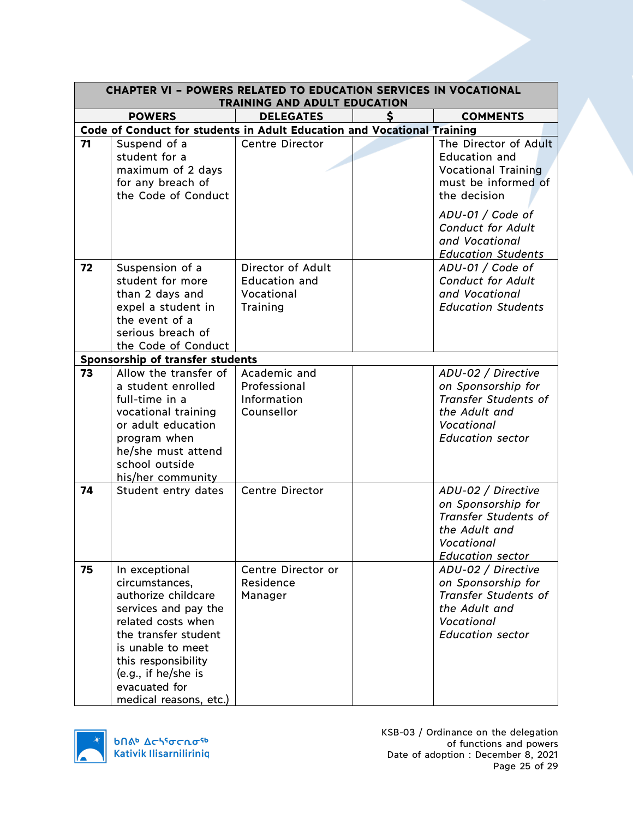| <b>CHAPTER VI - POWERS RELATED TO EDUCATION SERVICES IN VOCATIONAL</b><br>TRAINING AND ADULT EDUCATION |                                                                                                                                                                                                                                             |                                                                     |  |                                                                                                                                                                                                                   |
|--------------------------------------------------------------------------------------------------------|---------------------------------------------------------------------------------------------------------------------------------------------------------------------------------------------------------------------------------------------|---------------------------------------------------------------------|--|-------------------------------------------------------------------------------------------------------------------------------------------------------------------------------------------------------------------|
|                                                                                                        | <b>POWERS</b>                                                                                                                                                                                                                               | <b>DELEGATES</b>                                                    |  | <b>COMMENTS</b>                                                                                                                                                                                                   |
|                                                                                                        | Code of Conduct for students in Adult Education and Vocational Training                                                                                                                                                                     |                                                                     |  |                                                                                                                                                                                                                   |
| 71                                                                                                     | Suspend of a<br>student for a<br>maximum of 2 days<br>for any breach of<br>the Code of Conduct                                                                                                                                              | <b>Centre Director</b>                                              |  | The Director of Adult<br><b>Education and</b><br><b>Vocational Training</b><br>must be informed of<br>the decision<br>ADU-01 / Code of<br><b>Conduct for Adult</b><br>and Vocational<br><b>Education Students</b> |
| 72                                                                                                     | Suspension of a<br>student for more<br>than 2 days and<br>expel a student in<br>the event of a<br>serious breach of<br>the Code of Conduct                                                                                                  | Director of Adult<br><b>Education and</b><br>Vocational<br>Training |  | ADU-01 / Code of<br><b>Conduct for Adult</b><br>and Vocational<br><b>Education Students</b>                                                                                                                       |
|                                                                                                        | Sponsorship of transfer students                                                                                                                                                                                                            |                                                                     |  |                                                                                                                                                                                                                   |
| 73                                                                                                     | Allow the transfer of<br>a student enrolled<br>full-time in a<br>vocational training<br>or adult education<br>program when<br>he/she must attend<br>school outside<br>his/her community                                                     | Academic and<br>Professional<br>Information<br>Counsellor           |  | ADU-02 / Directive<br>on Sponsorship for<br><b>Transfer Students of</b><br>the Adult and<br>Vocational<br><b>Education sector</b>                                                                                 |
| 74                                                                                                     | Student entry dates                                                                                                                                                                                                                         | <b>Centre Director</b>                                              |  | ADU-02 / Directive<br>on Sponsorship for<br><b>Transfer Students of</b><br>the Adult and<br>Vocational<br><b>Education sector</b>                                                                                 |
| 75                                                                                                     | In exceptional<br>circumstances,<br>authorize childcare<br>services and pay the<br>related costs when<br>the transfer student<br>is unable to meet<br>this responsibility<br>(e.g., if he/she is<br>evacuated for<br>medical reasons, etc.) | Centre Director or<br>Residence<br>Manager                          |  | ADU-02 / Directive<br>on Sponsorship for<br><b>Transfer Students of</b><br>the Adult and<br>Vocational<br><b>Education sector</b>                                                                                 |

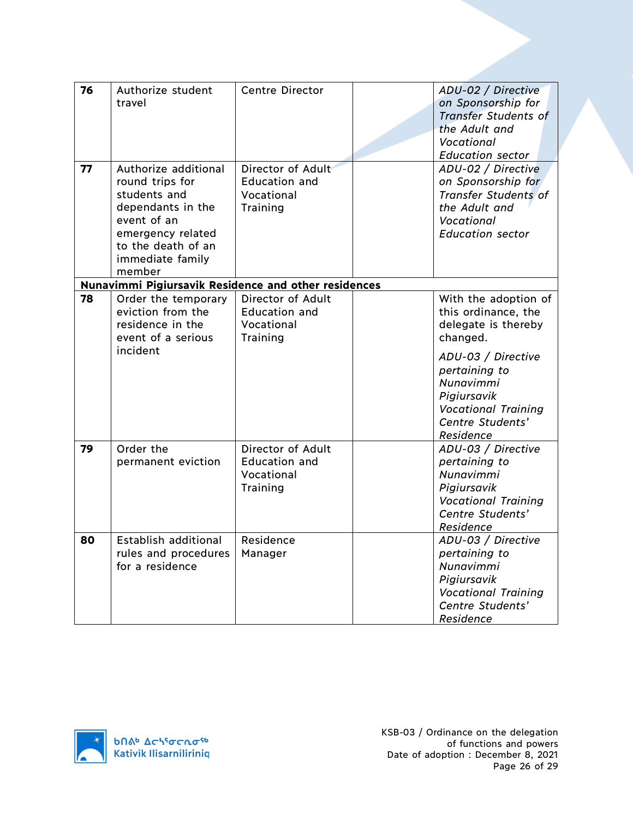| 76 |                                                             |                        |                                                   |
|----|-------------------------------------------------------------|------------------------|---------------------------------------------------|
|    | Authorize student<br>travel                                 | <b>Centre Director</b> | ADU-02 / Directive<br>on Sponsorship for          |
|    |                                                             |                        | <b>Transfer Students of</b>                       |
|    |                                                             |                        | the Adult and                                     |
|    |                                                             |                        | Vocational                                        |
|    |                                                             |                        | <b>Education sector</b>                           |
| 77 | Authorize additional                                        | Director of Adult      | ADU-02 / Directive                                |
|    | round trips for                                             | <b>Education and</b>   |                                                   |
|    | students and                                                | Vocational             | on Sponsorship for<br><b>Transfer Students of</b> |
|    |                                                             |                        | the Adult and                                     |
|    | dependants in the<br>event of an                            | Training               |                                                   |
|    |                                                             |                        | Vocational                                        |
|    | emergency related<br>to the death of an                     |                        | <b>Education sector</b>                           |
|    |                                                             |                        |                                                   |
|    | immediate family<br>member                                  |                        |                                                   |
|    | <b>Nunavimmi Pigiursavik Residence and other residences</b> |                        |                                                   |
| 78 | Order the temporary                                         | Director of Adult      | With the adoption of                              |
|    | eviction from the                                           | <b>Education and</b>   | this ordinance, the                               |
|    | residence in the                                            | Vocational             | delegate is thereby                               |
|    | event of a serious                                          | Training               | changed.                                          |
|    | incident                                                    |                        |                                                   |
|    |                                                             |                        | ADU-03 / Directive                                |
|    |                                                             |                        | pertaining to                                     |
|    |                                                             |                        | Nunavimmi                                         |
|    |                                                             |                        | Pigiursavik                                       |
|    |                                                             |                        | <b>Vocational Training</b>                        |
|    |                                                             |                        | Centre Students'                                  |
|    |                                                             |                        | Residence                                         |
| 79 | Order the                                                   | Director of Adult      | ADU-03 / Directive                                |
|    | permanent eviction                                          | <b>Education and</b>   | pertaining to                                     |
|    |                                                             | Vocational             | Nunavimmi                                         |
|    |                                                             | Training               | Pigiursavik                                       |
|    |                                                             |                        | <b>Vocational Training</b>                        |
|    |                                                             |                        | Centre Students'                                  |
|    |                                                             |                        | Residence                                         |
| 80 | Establish additional                                        | Residence              | ADU-03 / Directive                                |
|    | rules and procedures                                        | Manager                | pertaining to                                     |
|    | for a residence                                             |                        | Nunavimmi                                         |
|    |                                                             |                        | Pigiursavik                                       |
|    |                                                             |                        | <b>Vocational Training</b>                        |
|    |                                                             |                        | Centre Students'                                  |
|    |                                                             |                        | Residence                                         |

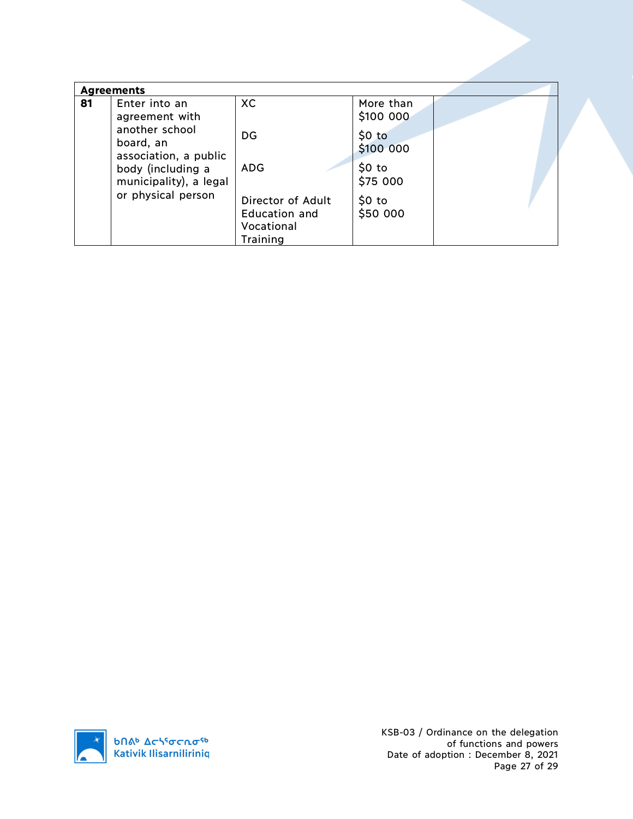| <b>Agreements</b> |                                                                                         |                                                                     |                                               |  |
|-------------------|-----------------------------------------------------------------------------------------|---------------------------------------------------------------------|-----------------------------------------------|--|
| 81                | Enter into an<br>agreement with<br>another school<br>board, an<br>association, a public | XC<br>DG                                                            | More than<br>\$100 000<br>\$0 to<br>\$100 000 |  |
|                   | body (including a<br>municipality), a legal<br>or physical person                       | <b>ADG</b>                                                          | \$0 to<br>\$75 000                            |  |
|                   |                                                                                         | Director of Adult<br>Education and<br>Vocational<br><b>Training</b> | $$0$ to<br>\$50 000                           |  |

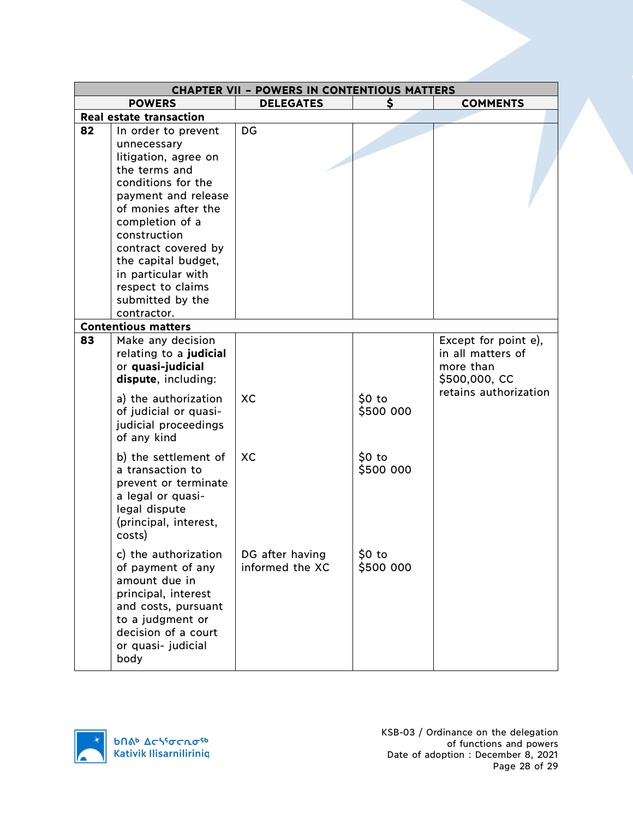| <b>CHAPTER VII - POWERS IN CONTENTIOUS MATTERS</b> |                                                                                                                                                                                                                                                                                                                |                                    |                               |                                                                                                  |
|----------------------------------------------------|----------------------------------------------------------------------------------------------------------------------------------------------------------------------------------------------------------------------------------------------------------------------------------------------------------------|------------------------------------|-------------------------------|--------------------------------------------------------------------------------------------------|
|                                                    | <b>POWERS</b>                                                                                                                                                                                                                                                                                                  | <b>DELEGATES</b>                   | \$                            | <b>COMMENTS</b>                                                                                  |
|                                                    | <b>Real estate transaction</b>                                                                                                                                                                                                                                                                                 |                                    |                               |                                                                                                  |
| 82                                                 | In order to prevent<br>unnecessary<br>litigation, agree on<br>the terms and<br>conditions for the<br>payment and release<br>of monies after the<br>completion of a<br>construction<br>contract covered by<br>the capital budget,<br>in particular with<br>respect to claims<br>submitted by the<br>contractor. | DG                                 |                               |                                                                                                  |
|                                                    | <b>Contentious matters</b>                                                                                                                                                                                                                                                                                     |                                    |                               |                                                                                                  |
| 83                                                 | Make any decision<br>relating to a judicial<br>or quasi-judicial<br>dispute, including:<br>a) the authorization<br>of judicial or quasi-<br>judicial proceedings<br>of any kind                                                                                                                                | XC                                 | 50 <sub>to</sub><br>\$500 000 | Except for point e),<br>in all matters of<br>more than<br>\$500,000, CC<br>retains authorization |
|                                                    | b) the settlement of<br>a transaction to<br>prevent or terminate<br>a legal or quasi-<br>legal dispute<br>(principal, interest,<br>costs)                                                                                                                                                                      | XC                                 | $$0$ to<br>\$500 000          |                                                                                                  |
|                                                    | c) the authorization<br>of payment of any<br>amount due in<br>principal, interest<br>and costs, pursuant<br>to a judgment or<br>decision of a court<br>or quasi- judicial<br>body                                                                                                                              | DG after having<br>informed the XC | $$0$ to<br>\$500 000          |                                                                                                  |